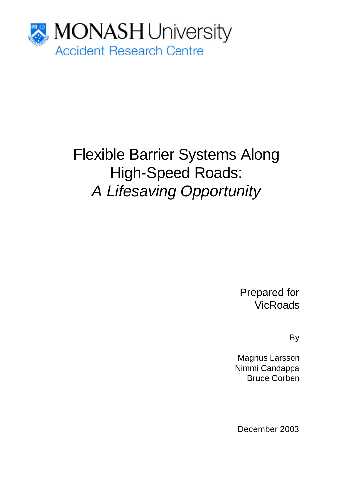

# Flexible Barrier Systems Along High-Speed Roads: *A Lifesaving Opportunity*

Prepared for **VicRoads** 

By

Magnus Larsson Nimmi Candappa Bruce Corben

December 2003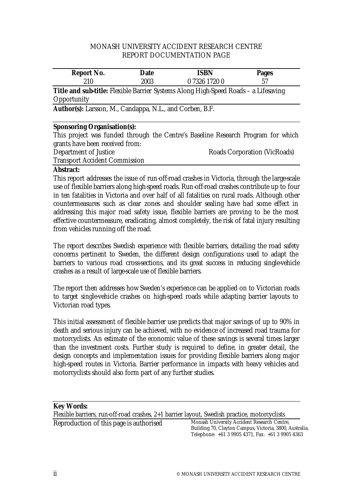#### MONASH UNIVERSITY ACCIDENT RESEARCH CENTRE REPORT DOCUMENTATION PAGE

| Report No. | Date | <b>ISBN</b>                                                                         | Pages |  |
|------------|------|-------------------------------------------------------------------------------------|-------|--|
| 210        | 2003 | 0 7326 1720 0                                                                       | 57    |  |
|            |      | Title and sub-title: Flexible Barrier Systems Along High-Speed Roads - a Lifesaving |       |  |

**Opportunity** 

**Author(s):** Larsson, M., Candappa, N.L., and Corben, B.F.

#### **Sponsoring Organisation(s):**

This project was funded through the Centre's Baseline Research Program for which grants have been received from: Department of Justice **Roads Corporation (VicRoads)** 

Transport Accident Commission

#### **Abstract:**

This report addresses the issue of run-off-road crashes in Victoria, through the large-scale use of flexible barriers along high-speed roads. Run-off-road crashes contribute up to four in ten fatalities in Victoria and over half of all fatalities on rural roads. Although other countermeasures such as clear zones and shoulder sealing have had some effect in addressing this major road safety issue, flexible barriers are proving to be the most effective countermeasure, eradicating, almost completely, the risk of fatal injury resulting from vehicles running off the road.

The report describes Swedish experience with flexible barriers, detailing the road safety concerns pertinent to Sweden, the different design configurations used to adapt the barriers to various road cross-sections, and its great success in reducing single-vehicle crashes as a result of large-scale use of flexible barriers.

The report then addresses how Sweden's experience can be applied on to Victorian roads to target single-vehicle crashes on high-speed roads while adapting barrier layouts to Victorian road types.

This initial assessment of flexible barrier use predicts that major savings of up to 90% in death and serious injury can be achieved, with no evidence of increased road trauma for motorcyclists. An estimate of the economic value of these savings is several times larger than the investment costs. Further study is required to define, in greater detail, the design concepts and implementation issues for providing flexible barriers along major high-speed routes in Victoria. Barrier performance in impacts with heavy vehicles and motorcyclists should also form part of any further studies.

#### **Key Words:**

Flexible barriers, run-off-road crashes, 2+1 barrier layout, Swedish practice, motorcyclists Reproduction of this page is authorised Monash University Accident Research Centre,

Building 70, Clayton Campus, Victoria, 3800, Australia. Telephone: +61 3 9905 4371, Fax: +61 3 9905 4363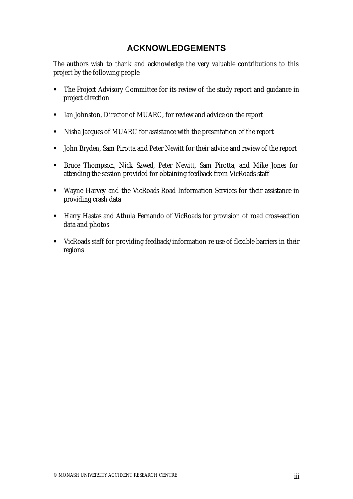# **ACKNOWLEDGEMENTS**

The authors wish to thank and acknowledge the very valuable contributions to this project by the following people:

- The Project Advisory Committee for its review of the study report and quidance in project direction
- **EXECT** Ian Johnston, Director of MUARC, for review and advice on the report
- Nisha Jacques of MUARC for assistance with the presentation of the report
- **John Bryden, Sam Pirotta and Peter Newitt for their advice and review of the report**
- **EXECT Bruce Thompson, Nick Szwed, Peter Newitt, Sam Pirotta, and Mike Jones for** attending the session provided for obtaining feedback from VicRoads staff
- Wayne Harvey and the VicRoads Road Information Services for their assistance in providing crash data
- **Harry Hastas and Athula Fernando of VicRoads for provision of road cross-section** data and photos
- VicRoads staff for providing feedback/information re use of flexible barriers in their regions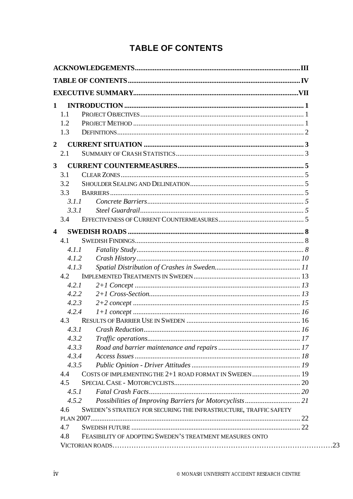# **TABLE OF CONTENTS**

| $\mathbf 1$             |                                                                   |  |
|-------------------------|-------------------------------------------------------------------|--|
| 1.1                     |                                                                   |  |
| 1.2                     |                                                                   |  |
| 1.3                     |                                                                   |  |
| $\boldsymbol{2}$        |                                                                   |  |
| 2.1                     |                                                                   |  |
| 3                       |                                                                   |  |
| 3.1                     |                                                                   |  |
| 3.2                     |                                                                   |  |
| 3.3                     |                                                                   |  |
| 3.1.1                   |                                                                   |  |
| 3.3.1                   |                                                                   |  |
| 3.4                     |                                                                   |  |
| $\overline{\mathbf{4}}$ |                                                                   |  |
| 4.1                     |                                                                   |  |
| 4.1.1                   |                                                                   |  |
| 4.1.2                   |                                                                   |  |
| 4.1.3                   |                                                                   |  |
| 4.2                     |                                                                   |  |
| 4.2.1                   |                                                                   |  |
| 4.2.2                   |                                                                   |  |
| 4.2.3                   |                                                                   |  |
| 4.2.4                   |                                                                   |  |
| 4.3                     |                                                                   |  |
| 431                     | Crash Reduction.                                                  |  |
| 4.3.2                   |                                                                   |  |
| 4.3.3                   |                                                                   |  |
| 4.3.4                   |                                                                   |  |
| 4.3.5                   |                                                                   |  |
| 4.4                     |                                                                   |  |
| 4.5                     |                                                                   |  |
| 4.5.1                   |                                                                   |  |
| 4.5.2                   |                                                                   |  |
| 4.6                     | SWEDEN'S STRATEGY FOR SECURING THE INFRASTRUCTURE, TRAFFIC SAFETY |  |
|                         |                                                                   |  |
| 4.7                     |                                                                   |  |
| 4.8                     | FEASIBILITY OF ADOPTING SWEDEN'S TREATMENT MEASURES ONTO          |  |
|                         |                                                                   |  |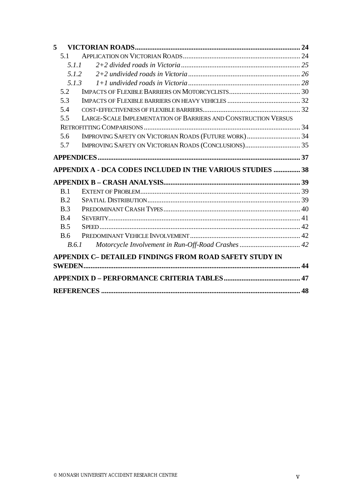| 5          |                                                                |                                                                              |
|------------|----------------------------------------------------------------|------------------------------------------------------------------------------|
| 5.1        |                                                                |                                                                              |
|            |                                                                |                                                                              |
|            |                                                                |                                                                              |
|            |                                                                |                                                                              |
| 5.2        |                                                                |                                                                              |
| 5.3        |                                                                |                                                                              |
| 5.4        |                                                                |                                                                              |
| 5.5        | LARGE-SCALE IMPLEMENTATION OF BARRIERS AND CONSTRUCTION VERSUS |                                                                              |
|            |                                                                |                                                                              |
| 5.6        |                                                                |                                                                              |
| 5.7        |                                                                |                                                                              |
|            |                                                                |                                                                              |
|            |                                                                |                                                                              |
|            |                                                                |                                                                              |
|            |                                                                |                                                                              |
| B.1        |                                                                |                                                                              |
| B.2        |                                                                |                                                                              |
| B.3        |                                                                |                                                                              |
| <b>B.4</b> |                                                                |                                                                              |
| B.5        |                                                                |                                                                              |
| B.6        |                                                                |                                                                              |
| B.6.1      |                                                                |                                                                              |
|            | APPENDIX C- DETAILED FINDINGS FROM ROAD SAFETY STUDY IN        |                                                                              |
|            |                                                                |                                                                              |
|            |                                                                |                                                                              |
|            |                                                                | 5.1.1<br>5.1.2<br>APPENDIX A - DCA CODES INCLUDED IN THE VARIOUS STUDIES  38 |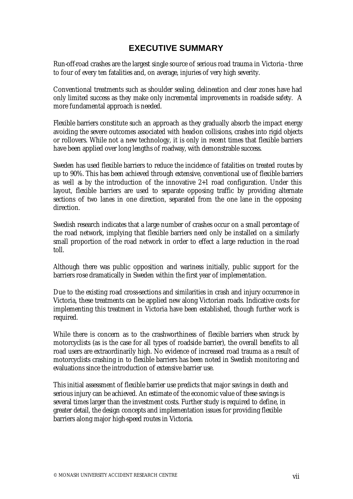# **EXECUTIVE SUMMARY**

Run-off-road crashes are the largest single source of serious road trauma in Victoria - three to four of every ten fatalities and, on average, injuries of very high severity.

Conventional treatments such as shoulder sealing, delineation and clear zones have had only limited success as they make only incremental improvements in roadside safety. A more fundamental approach is needed.

Flexible barriers constitute such an approach as they gradually absorb the impact energy avoiding the severe outcomes associated with head-on collisions, crashes into rigid objects or rollovers. While not a new technology, it is only in recent times that flexible barriers have been applied over long lengths of roadway, with demonstrable success.

Sweden has used flexible barriers to reduce the incidence of fatalities on treated routes by up to 90%. This has been achieved through extensive, conventional use of flexible barriers as well as by the introduction of the innovative 2+1 road configuration. Under this layout, flexible barriers are used to separate opposing traffic by providing alternate sections of two lanes in one direction, separated from the one lane in the opposing direction.

Swedish research indicates that a large number of crashes occur on a small percentage of the road network, implying that flexible barriers need only be installed on a similarly small proportion of the road network in order to effect a large reduction in the road toll.

Although there was public opposition and wariness initially, public support for the barriers rose dramatically in Sweden within the first year of implementation.

Due to the existing road cross-sections and similarities in crash and injury occurrence in Victoria, these treatments can be applied new along Victorian roads. Indicative costs for implementing this treatment in Victoria have been established, though further work is required.

While there is concern as to the crashworthiness of flexible barriers when struck by motorcyclists (as is the case for all types of roadside barrier), the overall benefits to all road users are extraordinarily high. No evidence of increased road trauma as a result of motorcyclists crashing in to flexible barriers has been noted in Swedish monitoring and evaluations since the introduction of extensive barrier use.

This initial assessment of flexible barrier use predicts that major savings in death and serious injury can be achieved. An estimate of the economic value of these savings is several times larger than the investment costs. Further study is required to define, in greater detail, the design concepts and implementation issues for providing flexible barriers along major high-speed routes in Victoria.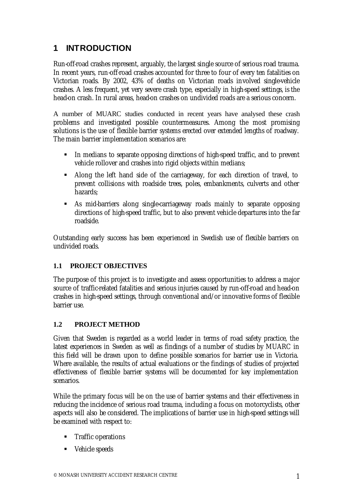# **1 INTRODUCTION**

Run-off-road crashes represent, arguably, the largest single source of serious road trauma. In recent years, run-off-road crashes accounted for three to four of every ten fatalities on Victorian roads. By 2002, 43% of deaths on Victorian roads involved single-vehicle crashes. A less frequent, yet very severe crash type, especially in high-speed settings, is the head-on crash. In rural areas, head-on crashes on undivided roads are a serious concern.

A number of MUARC studies conducted in recent years have analysed these crash problems and investigated possible countermeasures. Among the most promising solutions is the use of flexible barrier systems erected over extended lengths of roadway. The main barrier implementation scenarios are:

- ß In medians to separate opposing directions of high-speed traffic, and to prevent vehicle rollover and crashes into rigid objects within medians;
- Along the left hand side of the carriageway, for each direction of travel, to prevent collisions with roadside trees, poles, embankments, culverts and other hazards;
- ß As mid-barriers along single-carriageway roads mainly to separate opposing directions of high-speed traffic, but to also prevent vehicle departures into the far roadside.

Outstanding early success has been experienced in Swedish use of flexible barriers on undivided roads.

# **1.1 PROJECT OBJECTIVES**

The purpose of this project is to investigate and assess opportunities to address a major source of traffic-related fatalities and serious injuries caused by run-off-road and head-on crashes in high-speed settings, through conventional and/or innovative forms of flexible barrier use.

#### **1.2 PROJECT METHOD**

Given that Sweden is regarded as a world leader in terms of road safety practice, the latest experiences in Sweden as well as findings of a number of studies by MUARC in this field will be drawn upon to define possible scenarios for barrier use in Victoria. Where available, the results of actual evaluations or the findings of studies of projected effectiveness of flexible barrier systems will be documented for key implementation scenarios.

While the primary focus will be on the use of barrier systems and their effectiveness in reducing the incidence of serious road trauma, including a focus on motorcyclists, other aspects will also be considered. The implications of barrier use in high-speed settings will be examined with respect to:

- **Fig.** Traffic operations
- Vehicle speeds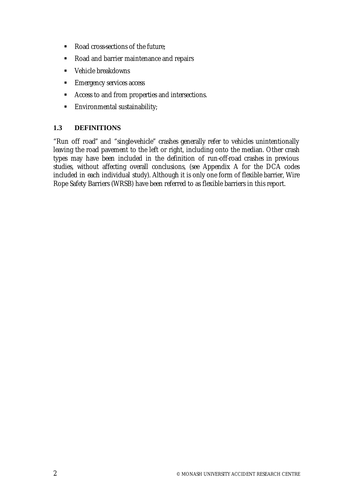- Road cross-sections of the future;
- Road and barrier maintenance and repairs
- Vehicle breakdowns
- **Emergency services access**
- **EXEC** Access to and from properties and intersections.
- $\blacksquare$  Environmental sustainability;

# **1.3 DEFINITIONS**

"Run off road" and "single-vehicle" crashes generally refer to vehicles unintentionally leaving the road pavement to the left or right, including onto the median. Other crash types may have been included in the definition of run-off-road crashes in previous studies, without affecting overall conclusions, (see Appendix A for the DCA codes included in each individual study). Although it is only one form of flexible barrier, Wire Rope Safety Barriers (WRSB) have been referred to as flexible barriers in this report.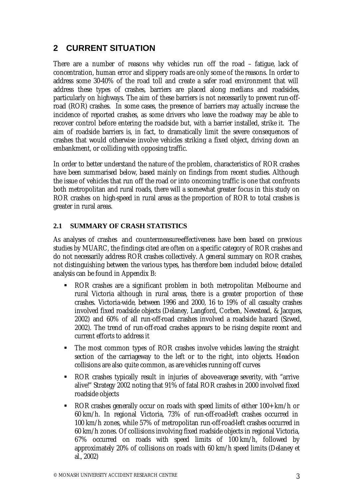# **2 CURRENT SITUATION**

There are a number of reasons why vehicles run off the road – fatigue, lack of concentration, human error and slippery roads are only some of the reasons. In order to address some 30-40% of the road toll and create a safer road environment that will address these types of crashes, barriers are placed along medians and roadsides, particularly on highways. The aim of these barriers is not necessarily to prevent run-offroad (ROR) crashes. In some cases, the presence of barriers may actually increase the incidence of reported crashes, as some drivers who leave the roadway may be able to recover control before entering the roadside but, with a barrier installed, strike it. The aim of roadside barriers is, in fact, to dramatically limit the severe consequences of crashes that would otherwise involve vehicles striking a fixed object, driving down an embankment, or colliding with opposing traffic.

In order to better understand the nature of the problem, characteristics of ROR crashes have been summarised below, based mainly on findings from recent studies. Although the issue of vehicles that run off the road or into oncoming traffic is one that confronts both metropolitan and rural roads, there will a somewhat greater focus in this study on ROR crashes on high-speed in rural areas as the proportion of ROR to total crashes is greater in rural areas.

# **2.1 SUMMARY OF CRASH STATISTICS**

As analyses of crashes and countermeasure-effectiveness have been based on previous studies by MUARC, the findings cited are often on a specific category of ROR crashes and do not necessarily address ROR crashes collectively. A general summary on ROR crashes, not distinguishing between the various types, has therefore been included below; detailed analysis can be found in Appendix B:

- ß ROR crashes are a significant problem in both metropolitan Melbourne and rural Victoria although in rural areas, there is a greater proportion of these crashes. Victoria-wide, between 1996 and 2000, 16 to 19% of all casualty crashes involved fixed roadside objects (Delaney, Langford, Corben, Newstead, & Jacques, 2002) and 60% of all run-off-road crashes involved a roadside hazard (Szwed, 2002). The trend of run-off-road crashes appears to be rising despite recent and current efforts to address it
- The most common types of ROR crashes involve vehicles leaving the straight section of the carriageway to the left or to the right, into objects. Head-on collisions are also quite common, as are vehicles running off curves
- ROR crashes typically result in injuries of above-average severity, with "arrive alive!" Strategy 2002 noting that 91% of fatal ROR crashes in 2000 involved fixed roadside objects
- ROR crashes generally occur on roads with speed limits of either 100+ km/h or 60 km/h. In regional Victoria, 73% of run-off-road-left crashes occurred in 100 km/h zones, while 57% of metropolitan run-off-road-left crashes occurred in 60 km/h zones. Of collisions involving fixed roadside objects in regional Victoria, 67% occurred on roads with speed limits of 100 km/h, followed by approximately 20% of collisions on roads with 60 km/h speed limits (Delaney et al., 2002)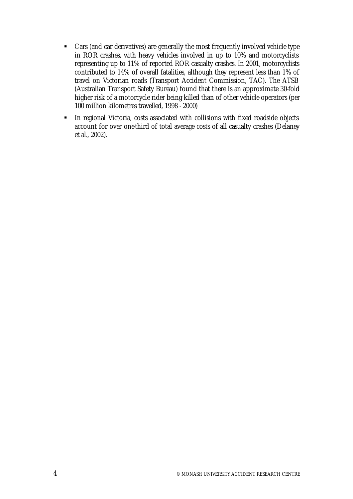- Cars (and car derivatives) are generally the most frequently involved vehicle type in ROR crashes, with heavy vehicles involved in up to 10% and motorcyclists representing up to 11% of reported ROR casualty crashes. In 2001, motorcyclists contributed to 14% of overall fatalities, although they represent less than 1% of travel on Victorian roads (Transport Accident Commission, TAC). The ATSB (Australian Transport Safety Bureau) found that there is an approximate 30-fold higher risk of a motorcycle rider being killed than of other vehicle operators (per 100 million kilometres travelled, 1998 - 2000)
- **In regional Victoria, costs associated with collisions with fixed roadside objects** account for over one-third of total average costs of all casualty crashes (Delaney et al., 2002).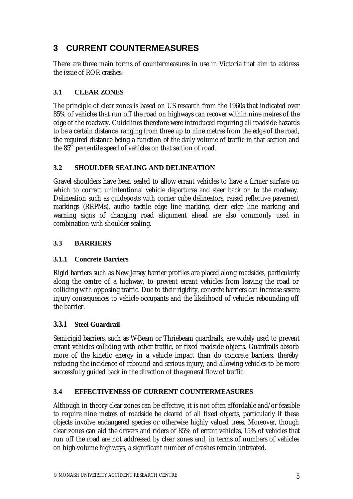# **3 CURRENT COUNTERMEASURES**

There are three main forms of countermeasures in use in Victoria that aim to address the issue of ROR crashes:

# **3.1 CLEAR ZONES**

The principle of clear zones is based on US research from the 1960s that indicated over 85% of vehicles that run off the road on highways can recover within nine metres of the edge of the roadway. Guidelines therefore were introduced requiring all roadside hazards to be a certain distance, ranging from three up to nine metres from the edge of the road, the required distance being a function of the daily volume of traffic in that section and the 85<sup>th</sup> percentile speed of vehicles on that section of road.

# **3.2 SHOULDER SEALING AND DELINEATION**

Gravel shoulders have been sealed to allow errant vehicles to have a firmer surface on which to correct unintentional vehicle departures and steer back on to the roadway. Delineation such as guideposts with corner cube delineators, raised reflective pavement markings (RRPMs), audio tactile edge line marking, clear edge line marking and warning signs of changing road alignment ahead are also commonly used in combination with shoulder sealing.

# **3.3 BARRIERS**

# **3.1.1 Concrete Barriers**

Rigid barriers such as New Jersey barrier profiles are placed along roadsides, particularly along the centre of a highway, to prevent errant vehicles from leaving the road or colliding with opposing traffic. Due to their rigidity, concrete barriers can increase severe injury consequences to vehicle occupants and the likelihood of vehicles rebounding off the barrier.

# **3.3.1 Steel Guardrail**

Semi-rigid barriers, such as W-Beam or Thriebeam quardrails, are widely used to prevent errant vehicles colliding with other traffic, or fixed roadside objects. Guardrails absorb more of the kinetic energy in a vehicle impact than do concrete barriers, thereby reducing the incidence of rebound and serious injury, and allowing vehicles to be more successfully guided back in the direction of the general flow of traffic.

# **3.4 EFFECTIVENESS OF CURRENT COUNTERMEASURES**

Although in theory clear zones can be effective, it is not often affordable and/or feasible to require nine metres of roadside be cleared of all fixed objects, particularly if these objects involve endangered species or otherwise highly valued trees. Moreover, though clear zones can aid the drivers and riders of 85% of errant vehicles, 15% of vehicles that run off the road are not addressed by clear zones and, in terms of numbers of vehicles on high-volume highways, a significant number of crashes remain untreated.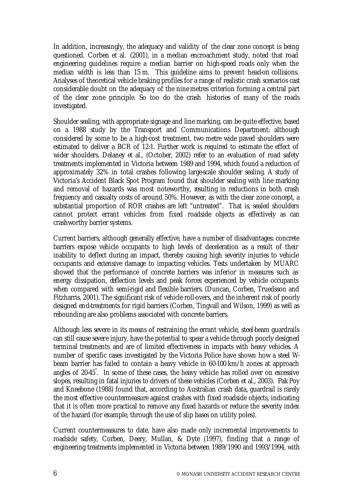In addition, increasingly, the adequacy and validity of the clear zone concept is being questioned. Corben et al. (2001), in a median encroachment study, noted that road engineering guidelines require a median barrier on high-speed roads only when the median width is less than 15 m. This guideline aims to prevent head-on collisions. Analyses of theoretical vehicle braking profiles for a range of realistic crash scenarios cast considerable doubt on the adequacy of the nine metres criterion forming a central part of the clear zone principle. So too do the crash histories of many of the roads investigated.

Shoulder sealing, with appropriate signage and line marking, can be quite effective, based on a 1988 study by the Transport and Communications Department: although considered by some to be a high-cost treatment, two metre wide paved shoulders were estimated to deliver a BCR of 12:1. Further work is required to estimate the effect of wider shoulders. Delaney et al., (October, 2002) refer to an evaluation of road safety treatments implemented in Victoria between 1989 and 1994, which found a reduction of approximately 32% in total crashes following large-scale shoulder sealing. A study of Victoria's Accident Black Spot Program found that shoulder sealing with line marking and removal of hazards was most noteworthy, resulting in reductions in both crash frequency and casualty costs of around 50%. However, as with the clear zone concept, a substantial proportion of ROR crashes are left "untreated". That is, sealed shoulders cannot protect errant vehicles from fixed roadside objects as effectively as can crashworthy barrier systems.

Current barriers, although generally effective, have a number of disadvantages: concrete barriers expose vehicle occupants to high levels of deceleration as a result of their inability to deflect during an impact, thereby causing high severity injuries to vehicle occupants and extensive damage to impacting vehicles. Tests undertaken by MUARC showed that the performance of concrete barriers was inferior in measures such as energy dissipation, deflection levels and peak forces experienced by vehicle occupants when compared with semi-rigid and flexible barriers. (Duncan, Corben, Truedsson and Fitzharris, 2001). The significant risk of vehicle roll-overs, and the inherent risk of poorly designed end-treatments for rigid barriers (Corben, Tingvall and Wilson, 1999) as well as rebounding are also problems associated with concrete barriers.

Although less severe in its means of restraining the errant vehicle, steel-beam guardrails can still cause severe injury, have the potential to spear a vehicle through poorly designed terminal treatments and are of limited effectiveness in impacts with heavy vehicles. A number of specific cases investigated by the Victoria Police have shown how a steel Wbeam barrier has failed to contain a heavy vehicle in 60-100 km/h zones at approach angles of 20-45° . In some of these cases, the heavy vehicle has rolled over on excessive slopes, resulting in fatal injuries to drivers of these vehicles (Corben et al., 2003). Pak Poy and Kneebone (1988) found that, according to Australian crash data, guardrail is rarely the most effective countermeasure against crashes with fixed roadside objects, indicating that it is often more practical to remove any fixed hazards or reduce the severity index of the hazard (for example, through the use of slip bases on utility poles).

Current countermeasures to date, have also made only incremental improvements to roadside safety, Corben, Deery, Mullan, & Dyte (1997), finding that a range of engineering treatments implemented in Victoria between 1989/1990 and 1993/1994, with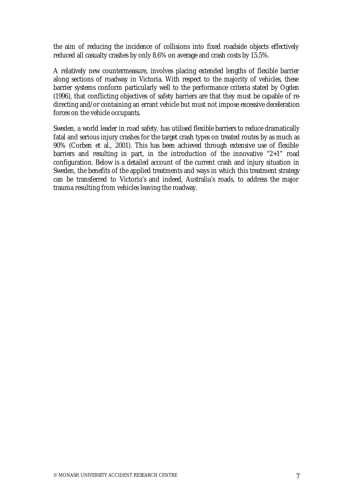the aim of reducing the incidence of collisions into fixed roadside objects effectively reduced all casualty crashes by only 8.6% on average and crash costs by 15.5%.

A relatively new countermeasure, involves placing extended lengths of flexible barrier along sections of roadway in Victoria. With respect to the majority of vehicles, these barrier systems conform particularly well to the performance criteria stated by Ogden (1996), that conflicting objectives of safety barriers are that they must be capable of redirecting and/or containing an errant vehicle but must not impose excessive deceleration forces on the vehicle occupants.

Sweden, a world leader in road safety, has utilised flexible barriers to reduce dramatically fatal and serious injury crashes for the target crash types on treated routes by as much as 90% (Corben et al., 2001). This has been achieved through extensive use of flexible barriers and resulting in part, in the introduction of the innovative "2+1" road configuration. Below is a detailed account of the current crash and injury situation in Sweden, the benefits of the applied treatments and ways in which this treatment strategy can be transferred to Victoria's and indeed, Australia's roads, to address the major trauma resulting from vehicles leaving the roadway.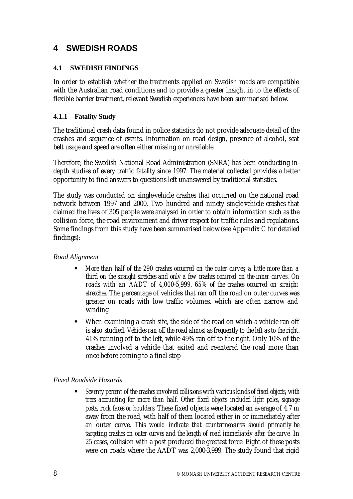# **4 SWEDISH ROADS**

## **4.1 SWEDISH FINDINGS**

In order to establish whether the treatments applied on Swedish roads are compatible with the Australian road conditions and to provide a greater insight in to the effects of flexible barrier treatment, relevant Swedish experiences have been summarised below.

## **4.1.1 Fatality Study**

The traditional crash data found in police statistics do not provide adequate detail of the crashes and sequence of events. Information on road design, presence of alcohol, seat belt usage and speed are often either missing or unreliable.

Therefore, the Swedish National Road Administration (SNRA) has been conducting indepth studies of every traffic fatality since 1997. The material collected provides a better opportunity to find answers to questions left unanswered by traditional statistics.

The study was conducted on single-vehicle crashes that occurred on the national road network between 1997 and 2000. Two hundred and ninety single-vehicle crashes that claimed the lives of 305 people were analysed in order to obtain information such as the collision force, the road environment and driver respect for traffic rules and regulations. Some findings from this study have been summarised below (see Appendix C for detailed findings):

#### *Road Alignment*

- ß *More than half of the 290 crashes occurred on the outer curves, a little more than a third on the straight stretches and only a few crashes occurred on the inner curves. On roads with an AADT of 4,000-5,999, 65% of the crashes occurred on straight stretches.* The percentage of vehicles that ran off the road on outer curves was greater on roads with low traffic volumes, which are often narrow and winding
- When examining a crash site, the side of the road on which a vehicle ran off is also studied*. Vehicles ran off the road almost as frequently to the left as to the right*: 41% running off to the left, while 49% ran off to the right. Only 10% of the crashes involved a vehicle that exited and re-entered the road more than once before coming to a final stop

# *Fixed Roadside Hazards*

ß *Seventy percent of the crashes involved collisions with various kinds of fixed objects, with trees accounting for more than half. Other fixed objects included light poles, signage posts, rock faces or boulders.* These fixed objects were located an average of 4.7 m away from the road, with half of them located either in or immediately after an outer curve. *This would indicate that countermeasures should primarily be targeting crashes on outer curves and the length of road immediately after the curve.* In 25 cases, collision with a post produced the greatest force. Eight of these posts were on roads where the AADT was 2,000-3,999. The study found that rigid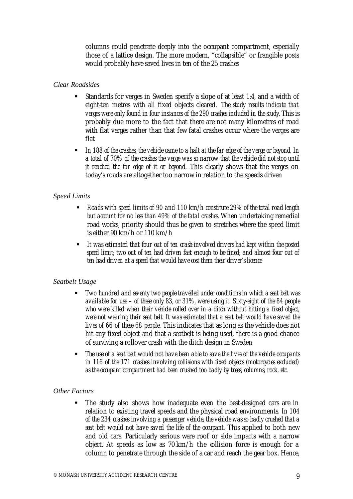columns could penetrate deeply into the occupant compartment, especially those of a lattice design. The more modern, "collapsible" or frangible posts would probably have saved lives in ten of the 25 crashes

#### *Clear Roadsides*

- ß Standards for verges in Sweden specify a slope of at least 1:4, and a width of eight-ten metres with all fixed objects cleared. *The study results indicate that verges were only found in four instances of the 290 crashes included in the study.* This is probably due more to the fact that there are not many kilometres of road with flat verges rather than that few fatal crashes occur where the verges are flat
- **ID 188 of the crashes, the vehicle came to a halt at the far edge of the verge or beyond. In** *a total of 70% of the crashes the verge was so narrow that the vehicle did not stop until it reached the far edge of it or beyond.* This clearly shows that the verges on today's roads are altogether too narrow in relation to the speeds driven

#### *Speed Limits*

- ß *Roads with speed limits of 90 and 110 km/h constitute 29% of the total road length but account for no less than 49% of the fatal crashes.* When undertaking remedial road works, priority should thus be given to stretches where the speed limit is either 90 km/h or 110 km/h
- ß *It was estimated that four out of ten crash-involved drivers had kept within the posted speed limit; two out of ten had driven fast enough to be fined; and almost four out of ten had driven at a speed that would have cost them their driver's licence*

#### *Seatbelt Usage*

- ß *Two hundred and seventy two people travelled under conditions in which a seat belt was available for use – of these only 83, or 31%, were using it. Sixty-eight of the 84 people who were killed when their vehicle rolled over in a ditch without hitting a fixed object, were not wearing their seat belt. It was estimated that a seat belt would have saved the lives of 66 of these 68 people.* This indicates that as long as the vehicle does not hit any fixed object and that a seatbelt is being used, there is a good chance of surviving a rollover crash with the ditch design in Sweden
- ß *The use of a seat belt would not have been able to save the lives of the vehicle occupants in 116 of the 171 crashes involving collisions with fixed objects (motorcycles excluded) as the occupant compartment had been crushed too badly by trees, columns, rock, etc.*

#### *Other Factors*

The study also shows how inadequate even the best-designed cars are in relation to existing travel speeds and the physical road environments. *In 104 of the 234 crashes involving a passenger vehicle, the vehicle was so badly crushed that a seat belt would not have saved the life of the occupant.* This applied to both new and old cars. Particularly serious were roof or side impacts with a narrow object. At speeds as low as 70 km/h the collision force is enough for a column to penetrate through the side of a car and reach the gear box. Hence,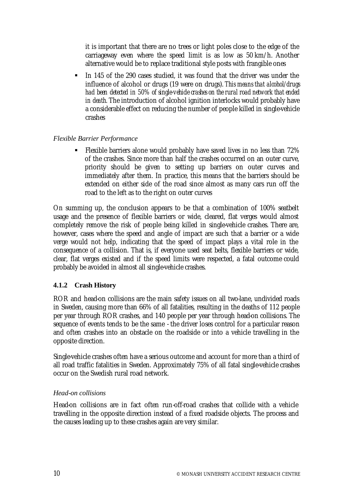it is important that there are no trees or light poles close to the edge of the carriageway even where the speed limit is as low as 50 km/h. Another alternative would be to replace traditional style posts with frangible ones

ß In 145 of the 290 cases studied, it was found that the driver was under the influence of alcohol or drugs (19 were on drugs). *This means that alcohol/drugs had been detected in 50% of single-vehicle crashes on the rural road network that ended in death.* The introduction of alcohol ignition interlocks would probably have a considerable effect on reducing the number of people killed in single-vehicle crashes

## *Flexible Barrier Performance*

ß Flexible barriers alone would probably have saved lives in no less than 72% of the crashes. Since more than half the crashes occurred on an outer curve, priority should be given to setting up barriers on outer curves and immediately after them. In practice, this means that the barriers should be extended on either side of the road since almost as many cars run off the road to the left as to the right on outer curves

On summing up, the conclusion appears to be that a combination of 100% seatbelt usage and the presence of flexible barriers or wide, cleared, flat verges would almost completely remove the risk of people being killed in single-vehicle crashes. There are, however, cases where the speed and angle of impact are such that a barrier or a wide verge would not help, indicating that the speed of impact plays a vital role in the consequence of a collision. That is, if everyone used seat belts, flexible barriers or wide, clear, flat verges existed and if the speed limits were respected, a fatal outcome could probably be avoided in almost all single-vehicle crashes.

# **4.1.2 Crash History**

ROR and head-on collisions are the main safety issues on all two-lane, undivided roads in Sweden, causing more than 66% of all fatalities, resulting in the deaths of 112 people per year through ROR crashes, and 140 people per year through head-on collisions. The sequence of events tends to be the same - the driver loses control for a particular reason and often crashes into an obstacle on the roadside or into a vehicle travelling in the opposite direction.

Single-vehicle crashes often have a serious outcome and account for more than a third of all road traffic fatalities in Sweden. Approximately 75% of all fatal single-vehicle crashes occur on the Swedish rural road network.

# *Head-on collisions*

Head-on collisions are in fact often run-off-road crashes that collide with a vehicle travelling in the opposite direction instead of a fixed roadside objects. The process and the causes leading up to these crashes again are very similar.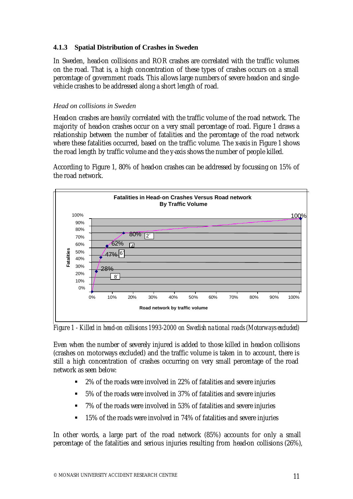## **4.1.3 Spatial Distribution of Crashes in Sweden**

In Sweden, head-on collisions and ROR crashes are correlated with the traffic volumes on the road. That is, a high concentration of these types of crashes occurs on a small percentage of government roads. This allows large numbers of severe head-on and singlevehicle crashes to be addressed along a short length of road.

#### *Head on collisions in Sweden*

Head-on crashes are heavily correlated with the traffic volume of the road network. The majority of head-on crashes occur on a very small percentage of road. Figure 1 draws a relationship between the number of fatalities and the percentage of the road network where these fatalities occurred, based on the traffic volume. The x-axis in Figure 1 shows the road length by traffic volume and the y-axis shows the number of people killed.

According to Figure 1, 80% of head-on crashes can be addressed by focussing on 15% of the road network.



*Figure 1 - Killed in head-on collisions 1993-2000 on Swedish national roads (Motorways excluded)*

Even when the number of severely injured is added to those killed in head-on collisions (crashes on motorways excluded) and the traffic volume is taken in to account, there is still a high concentration of crashes occurring on very small percentage of the road network as seen below:

- ß 2% of the roads were involved in 22% of fatalities and severe injuries
- ß 5% of the roads were involved in 37% of fatalities and severe injuries
- 7% of the roads were involved in 53% of fatalities and severe injuries
- ß 15% of the roads were involved in 74% of fatalities and severe injuries

In other words, a large part of the road network (85%) accounts for only a small percentage of the fatalities and serious injuries resulting from head-on collisions (26%),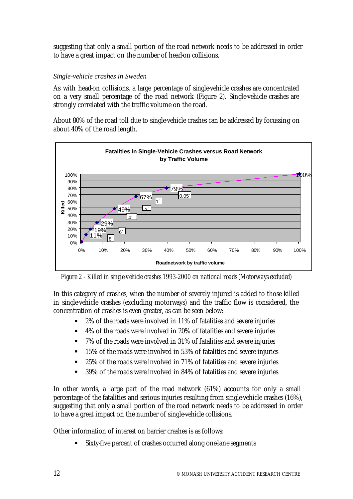suggesting that only a small portion of the road network needs to be addressed in order to have a great impact on the number of head-on collisions.

#### *Single-vehicle crashes in Sweden*

As with head-on collisions, a large percentage of single-vehicle crashes are concentrated on a very small percentage of the road network (Figure 2). Single-vehicle crashes are strongly correlated with the traffic volume on the road.

About 80% of the road toll due to single-vehicle crashes can be addressed by focussing on about 40% of the road length.



*Figure 2 - Killed in single-vehicle crashes 1993-2000 on national roads (Motorways excluded)*

In this category of crashes, when the number of severely injured is added to those killed in single-vehicle crashes (excluding motorways) and the traffic flow is considered, the concentration of crashes is even greater, as can be seen below:

- ß 2% of the roads were involved in 11% of fatalities and severe injuries
- 4% of the roads were involved in 20% of fatalities and severe injuries
- ß 7% of the roads were involved in 31% of fatalities and severe injuries
- **The 15% of the roads were involved in 53% of fatalities and severe injuries**
- 25% of the roads were involved in 71% of fatalities and severe injuries
- 39% of the roads were involved in 84% of fatalities and severe injuries

In other words, a large part of the road network (61%) accounts for only a small percentage of the fatalities and serious injuries resulting from single-vehicle crashes (16%), suggesting that only a small portion of the road network needs to be addressed in order to have a great impact on the number of single-vehicle collisions.

Other information of interest on barrier crashes is as follows:

Sixty-five percent of crashes occurred along one-lane segments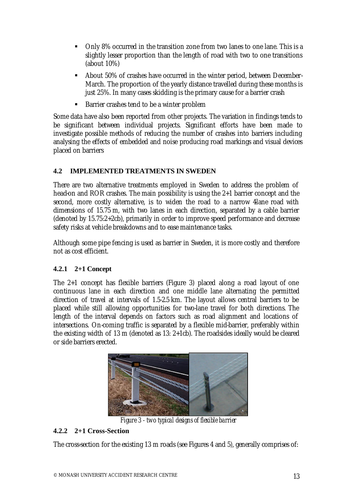- Only 8% occurred in the transition zone from two lanes to one lane. This is a slightly lesser proportion than the length of road with two to one transitions (about 10%)
- **B** About 50% of crashes have occurred in the winter period, between December-March. The proportion of the yearly distance travelled during these months is just 25%. In many cases skidding is the primary cause for a barrier crash
- ß Barrier crashes tend to be a winter problem

Some data have also been reported from other projects. The variation in findings tends to be significant between individual projects. Significant efforts have been made to investigate possible methods of reducing the number of crashes into barriers including analysing the effects of embedded and noise producing road markings and visual devices placed on barriers

# **4.2 IMPLEMENTED TREATMENTS IN SWEDEN**

There are two alternative treatments employed in Sweden to address the problem of head-on and ROR crashes. The main possibility is using the 2+1 barrier concept and the second, more costly alternative, is to widen the road to a narrow 4lane road with dimensions of 15.75 m, with two lanes in each direction, separated by a cable barrier (denoted by 15.75:2+2cb), primarily in order to improve speed performance and decrease safety risks at vehicle breakdowns and to ease maintenance tasks.

Although some pipe fencing is used as barrier in Sweden, it is more costly and therefore not as cost efficient.

# **4.2.1 2+1 Concept**

The 2+1 concept has flexible barriers (Figure 3) placed along a road layout of one continuous lane in each direction and one middle lane alternating the permitted direction of travel at intervals of 1.5-2.5 km. The layout allows central barriers to be placed while still allowing opportunities for two-lane travel for both directions. The length of the interval depends on factors such as road alignment and locations of intersections. On-coming traffic is separated by a flexible mid-barrier, preferably within the existing width of 13 m (denoted as 13: 2+1cb). The roadsides ideally would be cleared or side barriers erected.



*Figure 3 - two typical designs of flexible barrier*

# **4.2.2 2+1 Cross-Section**

The cross-section for the existing 13 m roads (see Figures 4 and 5*)*, generally comprises of: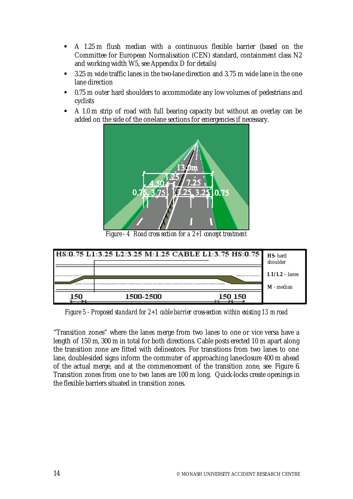- ß A 1.25 m flush median with a continuous flexible barrier (based on the Committee for European Normalisation (CEN) standard, containment class N2 and working width W5, see Appendix D for details)
- ß 3.25 m wide traffic lanes in the two-lane direction and 3.75 m wide lane in the onelane direction
- 0.75 m outer hard shoulders to accommodate any low volumes of pedestrians and cyclists
- A 1.0 m strip of road with full bearing capacity but without an overlay can be added on the side of the one-lane sections for emergencies if necessary.



*Figure - 4 Road cross section for a 2+1 concept treatment*



*Figure 5 - Proposed standard for 2+1 cable barrier cross-section within existing 13 m road*

"Transition zones" where the lanes merge from two lanes to one or vice versa have a length of 150 m, 300 m in total for both directions. Cable posts erected 10 m apart along the transition zone are fitted with delineators. For transitions from two lanes to one lane, double-sided signs inform the commuter of approaching lane-closure 400 m ahead of the actual merge, and at the commencement of the transition zone, see Figure 6. Transition zones from one to two lanes are 100 m long. Quick-locks create openings in the flexible barriers situated in transition zones.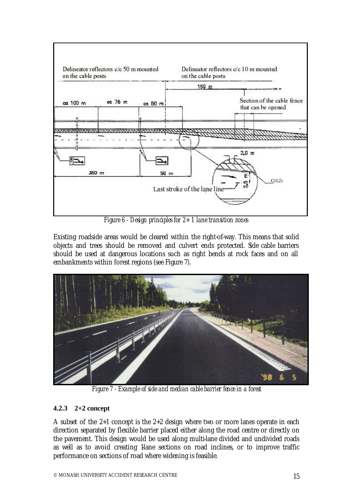

*Figure 6 - Design principles for 2+ 1 lane transition zones*

Existing roadside areas would be cleared within the right-of-way. This means that solid objects and trees should be removed and culvert ends protected. Side cable barriers should be used at dangerous locations such as right bends at rock faces and on all embankments within forest regions (see Figure 7*)*.



*Figure 7 - Example of side and median cable barrier fence in a forest*

# **4.2.3 2+2 concept**

A subset of the 2+1 concept is the 2+2 design where two or more lanes operate in each direction separated by flexible barrier placed either along the road centre or directly on the pavement. This design would be used along multi-lane divided and undivided roads as well as to avoid creating 1-lane sections on road inclines, or to improve traffic performance on sections of road where widening is feasible.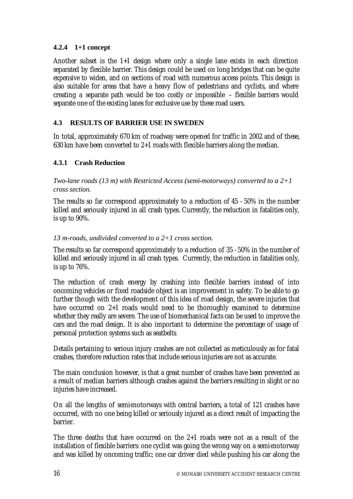# **4.2.4 1+1 concept**

Another subset is the 1+1 design where only a single lane exists in each direction separated by flexible barrier. This design could be used on long bridges that can be quite expensive to widen, and on sections of road with numerous access points. This design is also suitable for areas that have a heavy flow of pedestrians and cyclists, and where creating a separate path would be too costly or impossible – flexible barriers would separate one of the existing lanes for exclusive use by these road users.

## **4.3 RESULTS OF BARRIER USE IN SWEDEN**

In total, approximately 670 km of roadway were opened for traffic in 2002 and of these, 630 km have been converted to 2+1 roads with flexible barriers along the median.

## **4.3.1 Crash Reduction**

*Two-lane roads (13 m) with Restricted Access (semi-motorways) converted to a 2+1 cross section.*

The results so far correspond approximately to a reduction of 45 - 50% in the number killed and seriously injured in all crash types. Currently, the reduction in fatalities only, is up to 90%.

#### *13 m-roads, undivided converted to a 2+1 cross section.*

The results so far correspond approximately to a reduction of 35 - 50% in the number of killed and seriously injured in all crash types. Currently, the reduction in fatalities only, is up to 76%.

The reduction of crash energy by crashing into flexible barriers instead of into oncoming vehicles or fixed roadside object is an improvement in safety. To be able to go further though with the development of this idea of road design, the severe injuries that have occurred on 2+1 roads would need to be thoroughly examined to determine whether they really are severe. The use of biomechanical facts can be used to improve the cars and the road design. It is also important to determine the percentage of usage of personal protection systems such as seatbelts.

Details pertaining to serious injury crashes are not collected as meticulously as for fatal crashes, therefore reduction rates that include serious injuries are not as accurate.

The main conclusion however, is that a great number of crashes have been prevented as a result of median barriers although crashes against the barriers resulting in slight or no injuries have increased.

On all the lengths of semi-motorways with central barriers, a total of 121 crashes have occurred, with no one being killed or seriously injured as a direct result of impacting the barrier.

The three deaths that have occurred on the 2+1 roads were not as a result of the installation of flexible barriers: one cyclist was going the wrong way on a semi-motorway and was killed by oncoming traffic; one car driver died while pushing his car along the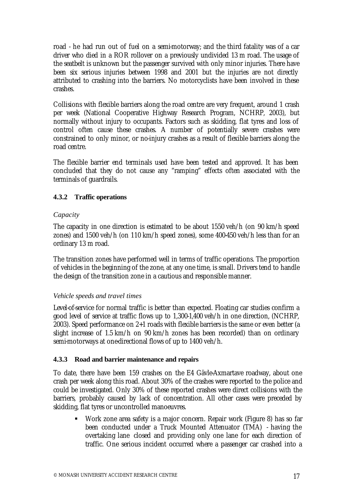road - he had run out of fuel on a semi-motorway; and the third fatality was of a car driver who died in a ROR rollover on a previously undivided 13 m road. The usage of the seatbelt is unknown but the passenger survived with only minor injuries. There have been six serious injuries between 1998 and 2001 but the injuries are not directly attributed to crashing into the barriers. No motorcyclists have been involved in these crashes.

Collisions with flexible barriers along the road centre are very frequent, around 1 crash per week (National Cooperative Highway Research Program, NCHRP, 2003), but normally without injury to occupants. Factors such as skidding, flat tyres and loss of control often cause these crashes. A number of potentially severe crashes were constrained to only minor, or no-injury crashes as a result of flexible barriers along the road centre.

The flexible barrier end terminals used have been tested and approved. It has been concluded that they do not cause any "ramping" effects often associated with the terminals of guardrails.

# **4.3.2 Traffic operations**

#### *Capacity*

The capacity in one direction is estimated to be about 1550 veh/h (on 90 km/h speed zones) and 1500 veh/h (on 110 km/h speed zones), some 400-450 veh/h less than for an ordinary 13 m road.

The transition zones have performed well in terms of traffic operations. The proportion of vehicles in the beginning of the zone, at any one time, is small. Drivers tend to handle the design of the transition zone in a cautious and responsible manner.

#### *Vehicle speeds and travel times*

Level-of-service for normal traffic is better than expected. Floating car studies confirm a good level of service at traffic flows up to 1,300-1,400 veh/h in one direction, (NCHRP, 2003). Speed performance on 2+1 roads with flexible barriers is the same or even better (a slight increase of 1.5 km/h on 90 km/h zones has been recorded) than on ordinary semi-motorways at one-directional flows of up to 1400 veh/h.

#### **4.3.3 Road and barrier maintenance and repairs**

To date, there have been 159 crashes on the E4 Gävle-Axmartave roadway, about one crash per week along this road. About 30% of the crashes were reported to the police and could be investigated. Only 30% of these reported crashes were direct collisions with the barriers, probably caused by lack of concentration. All other cases were preceded by skidding, flat tyres or uncontrolled manoeuvres.

**Work zone area safety is a major concern. Repair work (Figure 8) has so far** been conducted under a Truck Mounted Attenuator (TMA) - having the overtaking lane closed and providing only one lane for each direction of traffic. One serious incident occurred where a passenger car crashed into a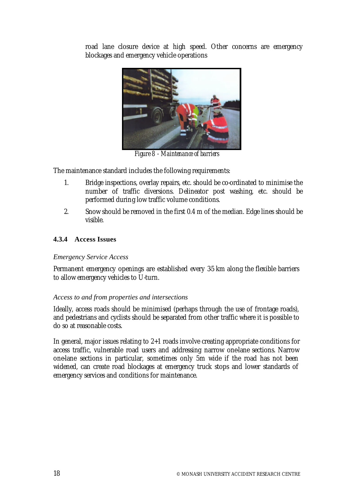road lane closure device at high speed. Other concerns are emergency blockages and emergency vehicle operations



*Figure 8 - Maintenance of barriers*

The maintenance standard includes the following requirements:

- 1. Bridge inspections, overlay repairs, etc. should be co-ordinated to minimise the number of traffic diversions. Delineator post washing, etc. should be performed during low traffic volume conditions.
- 2. Snow should be removed in the first 0.4 m of the median. Edge lines should be visible.

## **4.3.4 Access Issues**

#### *Emergency Service Access*

Permanent emergency openings are established every 35 km along the flexible barriers to allow emergency vehicles to U-turn.

#### *Access to and from properties and intersections*

Ideally, access roads should be minimised (perhaps through the use of frontage roads), and pedestrians and cyclists should be separated from other traffic where it is possible to do so at reasonable costs.

In general, major issues relating to 2+1 roads involve creating appropriate conditions for access traffic, vulnerable road users and addressing narrow one-lane sections. Narrow one-lane sections in particular, sometimes only 5m wide if the road has not been widened, can create road blockages at emergency truck stops and lower standards of emergency services and conditions for maintenance.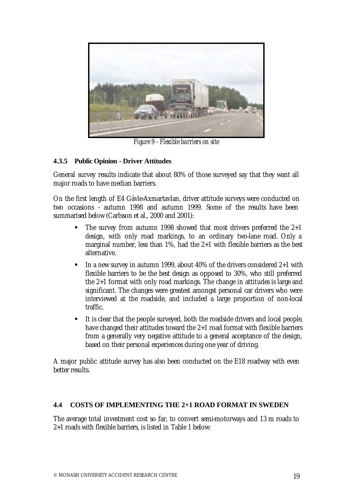

*Figure 9 - Flexible barriers on site*

# **4.3.5 Public Opinion - Driver Attitudes**

General survey results indicate that about 80% of those surveyed say that they want all major roads to have median barriers.

On the first length of E4 Gävle-Axmartavlan, driver attitude surveys were conducted on two occasions - autumn 1998 and autumn 1999. Some of the results have been summarised below (Carlsson et al., 2000 and 2001):

- The survey from autumn 1998 showed that most drivers preferred the 2+1 design, with only road markings, to an ordinary two-lane road. Only a marginal number, less than 1%, had the 2+1 with flexible barriers as the best alternative.
- ß In a new survey in autumn 1999, about 40% of the drivers considered 2+1 with flexible barriers to be the best design as opposed to 30%, who still preferred the 2+1 format with only road markings. The change in attitudes is large and significant. The changes were greatest amongst personal car drivers who were interviewed at the roadside, and included a large proportion of non-local traffic.
- $\blacksquare$  It is clear that the people surveyed, both the roadside drivers and local people, have changed their attitudes toward the 2+1 road format with flexible barriers from a generally very negative attitude to a general acceptance of the design, based on their personal experiences during one year of driving.

A major public attitude survey has also been conducted on the E18 roadway with even better results.

#### **4.4 COSTS OF IMPLEMENTING THE 2+1 ROAD FORMAT IN SWEDEN**

The average total investment cost so far, to convert semi-motorways and 13 m roads to 2+1 roads with flexible barriers, is listed in Table 1 below: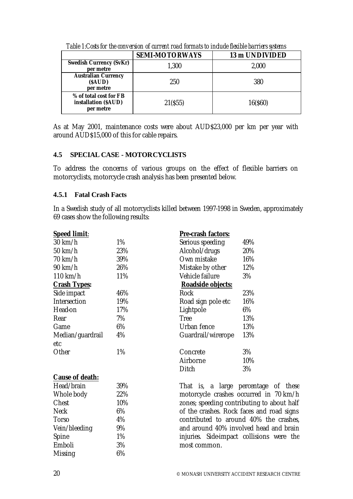|                                                             | <b>SEMI-MOTORWAYS</b> | 13 m UNDIVIDED |
|-------------------------------------------------------------|-----------------------|----------------|
| <b>Swedish Currency (SvKr)</b><br>per metre                 | 1,300                 | 2,000          |
| <b>Australian Currency</b><br>(SAUD)<br>per metre           | 250                   | 380            |
| % of total cost for FB<br>installation (\$AUD)<br>per metre | 21(\$55)              | 16(\$60)       |

*Table 1:Costs for the conversion of current road formats to include flexible barriers systems*

As at May 2001, maintenance costs were about AUD\$23,000 per km per year with around AUD\$15,000 of this for cable repairs.

## **4.5 SPECIAL CASE - MOTORCYCLISTS**

To address the concerns of various groups on the effect of flexible barriers on motorcyclists, motorcycle crash analysis has been presented below.

#### **4.5.1 Fatal Crash Facts**

In a Swedish study of all motorcyclists killed between 1997-1998 in Sweden, approximately 69 cases show the following results:

| <b>Speed limit:</b> |     | Pre-crash factors:                         |     |
|---------------------|-----|--------------------------------------------|-----|
| $30 \text{ km/h}$   | 1%  | Serious speeding                           | 49% |
| 50 km/h             | 23% | Alcohol/drugs                              | 20% |
| 70 km/h             | 39% | Own mistake                                | 16% |
| 90 km/h             | 26% | Mistake by other                           | 12% |
| 110 km/h            | 11% | Vehicle failure                            | 3%  |
| <b>Crash Types:</b> |     | Roadside objects:                          |     |
| Side impact         | 46% | <b>Rock</b>                                | 23% |
| Intersection        | 19% | Road sign pole etc                         | 16% |
| Head-on             | 17% | Lightpole                                  | 6%  |
| Rear                | 7%  | <b>Tree</b>                                | 13% |
| Game                | 6%  | Urban fence                                | 13% |
| Median/guardrail    | 4%  | Guardrail/wirerope                         | 13% |
| etc                 |     |                                            |     |
| Other               | 1%  | Concrete                                   | 3%  |
|                     |     | Airborne                                   | 10% |
|                     |     | <b>Ditch</b>                               | 3%  |
| Cause of death:     |     |                                            |     |
| Head/brain          | 39% | That is, a large percentage of these       |     |
| Whole body          | 22% | motorcycle crashes occurred in 70 km/h     |     |
| Chest               | 10% | zones; speeding contributing to about half |     |
| <b>Neck</b>         | 6%  | of the crashes. Rock faces and road signs  |     |
| <b>Torso</b>        | 4%  | contributed to around 40% the crashes,     |     |
| Vein/bleeding       | 9%  | and around 40% involved head and brain     |     |
| Spine               | 1%  | injuries. Side-impact collisions were the  |     |
| Emboli              | 3%  | most common.                               |     |
| Missing             | 6%  |                                            |     |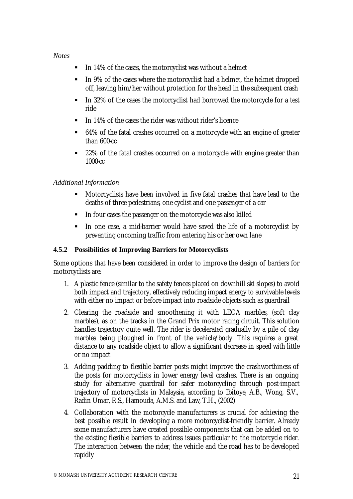#### *Notes*

- **IF 14% of the cases, the motorcyclist was without a helmet**
- **IF IN 9% of the cases where the motorcyclist had a helmet, the helmet dropped** off, leaving him/her without protection for the head in the subsequent crash
- In 32% of the cases the motorcyclist had borrowed the motorcycle for a test ride
- **IF 14% of the cases the rider was without rider's licence**
- 64% of the fatal crashes occurred on a motorcycle with an engine of greater than 600-cc
- **22%** of the fatal crashes occurred on a motorcycle with engine greater than 1000-cc

## *Additional Information*

- ß Motorcyclists have been involved in five fatal crashes that have lead to the deaths of three pedestrians, one cyclist and one passenger of a car
- In four cases the passenger on the motorcycle was also killed
- ß In one case, a mid-barrier would have saved the life of a motorcyclist by preventing oncoming traffic from entering his or her own lane

#### **4.5.2 Possibilities of Improving Barriers for Motorcyclists**

Some options that have been considered in order to improve the design of barriers for motorcyclists are:

- 1. A plastic fence (similar to the safety fences placed on downhill ski slopes) to avoid both impact and trajectory, effectively reducing impact energy to survivable levels with either no impact or before impact into roadside objects such as guardrail
- 2. Clearing the roadside and smoothening it with LECA marbles, (soft clay marbles), as on the tracks in the Grand Prix motor racing circuit. This solution handles trajectory quite well. The rider is decelerated gradually by a pile of clay marbles being ploughed in front of the vehicle/body. This requires a great distance to any roadside object to allow a significant decrease in speed with little or no impact
- 3. Adding padding to flexible barrier posts might improve the crashworthiness of the posts for motorcyclists in lower energy level crashes. There is an ongoing study for alternative guardrail for safer motorcycling through post-impact trajectory of motorcyclists in Malaysia, according to Ibitoye, A.B., Wong, S.V., Radin Umar, R.S., Hamouda, A.M.S. and Law, T.H., (2002)
- 4. Collaboration with the motorcycle manufacturers is crucial for achieving the best possible result in developing a more motorcyclist-friendly barrier. Already some manufacturers have created possible components that can be added on to the existing flexible barriers to address issues particular to the motorcycle rider. The interaction between the rider, the vehicle and the road has to be developed rapidly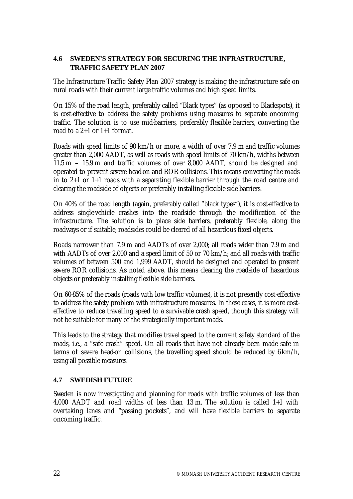## **4.6 SWEDEN'S STRATEGY FOR SECURING THE INFRASTRUCTURE, TRAFFIC SAFETY PLAN 2007**

The Infrastructure Traffic Safety Plan 2007 strategy is making the infrastructure safe on rural roads with their current large traffic volumes and high speed limits.

On 15% of the road length, preferably called "Black types" (as opposed to Blackspots), it is cost-effective to address the safety problems using measures to separate oncoming traffic. The solution is to use mid-barriers, preferably flexible barriers, converting the road to a 2+1 or 1+1 format.

Roads with speed limits of 90 km/h or more, a width of over 7.9 m and traffic volumes greater than 2,000 AADT, as well as roads with speed limits of 70 km/h, widths between 11.5 m – 15.9 m and traffic volumes of over 8,000 AADT, should be designed and operated to prevent severe head-on and ROR collisions. This means converting the roads in to 2+1 or 1+1 roads with a separating flexible barrier through the road centre and clearing the roadside of objects or preferably installing flexible side barriers.

On 40% of the road length (again, preferably called "black types"), it is cost-effective to address single-vehicle crashes into the roadside through the modification of the infrastructure. The solution is to place side barriers, preferably flexible, along the roadways or if suitable, roadsides could be cleared of all hazardous fixed objects.

Roads narrower than 7.9 m and AADTs of over 2,000; all roads wider than 7.9 m and with AADTs of over 2,000 and a speed limit of 50 or 70 km/h; and all roads with traffic volumes of between 500 and 1,999 AADT, should be designed and operated to prevent severe ROR collisions. As noted above, this means clearing the roadside of hazardous objects or preferably installing flexible side barriers.

On 60-85% of the roads (roads with low traffic volumes), it is not presently cost-effective to address the safety problem with infrastructure measures. In these cases, it is more costeffective to reduce travelling speed to a survivable crash speed, though this strategy will not be suitable for many of the strategically important roads.

This leads to the strategy that modifies travel speed to the current safety standard of the roads, i.e., a "safe crash" speed. On all roads that have not already been made safe in terms of severe head-on collisions, the travelling speed should be reduced by 6km/h, using all possible measures.

#### **4.7 SWEDISH FUTURE**

Sweden is now investigating and planning for roads with traffic volumes of less than 4,000 AADT and road widths of less than 13 m. The solution is called 1+1 with overtaking lanes and "passing pockets", and will have flexible barriers to separate oncoming traffic.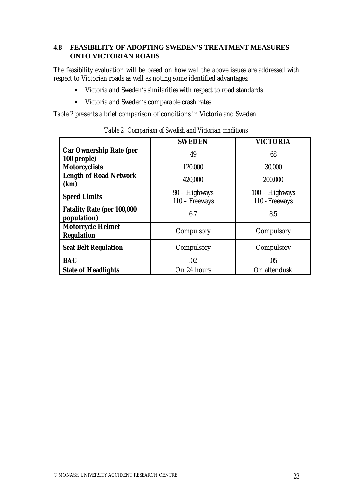## **4.8 FEASIBILITY OF ADOPTING SWEDEN'S TREATMENT MEASURES ONTO VICTORIAN ROADS**

The feasibility evaluation will be based on how well the above issues are addressed with respect to Victorian roads as well as noting some identified advantages:

- **EXECT:** Victoria and Sweden's similarities with respect to road standards
- **EXECUTE:** Victoria and Sweden's comparable crash rates

Table 2 presents a brief comparison of conditions in Victoria and Sweden.

|                                               | <b>SWEDEN</b>                   | <b>VICTORIA</b>                  |
|-----------------------------------------------|---------------------------------|----------------------------------|
| <b>Car Ownership Rate (per</b><br>100 people) | 49                              | 68                               |
| <b>Motorcyclists</b>                          | 120,000                         | 30,000                           |
| <b>Length of Road Network</b><br>(km)         | 420,000                         | 200,000                          |
| <b>Speed Limits</b>                           | 90 - Highways<br>110 - Freeways | 100 - Highways<br>110 - Freeways |
| Fatality Rate (per 100,000<br>population)     | 6.7                             | 8.5                              |
| <b>Motorcycle Helmet</b><br><b>Regulation</b> | Compulsory                      | Compulsory                       |
| <b>Seat Belt Regulation</b>                   | Compulsory                      | Compulsory                       |
| <b>BAC</b>                                    | .02                             | .05                              |
| <b>State of Headlights</b>                    | On 24 hours                     | On after dusk                    |

*Table 2: Comparison of Swedish and Victorian conditions*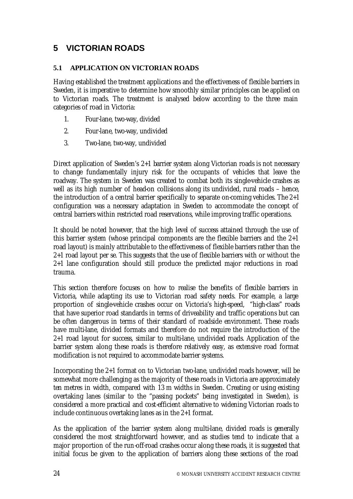# **5 VICTORIAN ROADS**

#### **5.1 APPLICATION ON VICTORIAN ROADS**

Having established the treatment applications and the effectiveness of flexible barriers in Sweden, it is imperative to determine how smoothly similar principles can be applied on to Victorian roads. The treatment is analysed below according to the three main categories of road in Victoria:

- 1. Four-lane, two-way, divided
- 2. Four-lane, two-way, undivided
- 3. Two-lane, two-way, undivided

Direct application of Sweden's 2+1 barrier system along Victorian roads is not necessary to change fundamentally injury risk for the occupants of vehicles that leave the roadway. The system in Sweden was created to combat both its single-vehicle crashes as well as its high number of head-on collisions along its undivided, rural roads – hence, the introduction of a central barrier specifically to separate on-coming vehicles. The 2+1 configuration was a necessary adaptation in Sweden to accommodate the concept of central barriers within restricted road reservations, while improving traffic operations.

It should be noted however, that the high level of success attained through the use of this barrier system (whose principal components are the flexible barriers and the 2+1 road layout) is mainly attributable to the effectiveness of flexible barriers rather than the 2+1 road layout per se. This suggests that the use of flexible barriers with or without the 2+1 lane configuration should still produce the predicted major reductions in road trauma.

This section therefore focuses on how to realise the benefits of flexible barriers in Victoria, while adapting its use to Victorian road safety needs. For example, a large proportion of single-vehicle crashes occur on Victoria's high-speed, "high-class" roads that have superior road standards in terms of driveability and traffic operations but can be often dangerous in terms of their standard of roadside environment. These roads have multi-lane, divided formats and therefore do not require the introduction of the 2+1 road layout for success, similar to multi-lane, undivided roads. Application of the barrier system along these roads is therefore relatively easy, as extensive road format modification is not required to accommodate barrier systems.

Incorporating the 2+1 format on to Victorian two-lane, undivided roads however, will be somewhat more challenging as the majority of these roads in Victoria are approximately ten metres in width, compared with 13 m widths in Sweden. Creating or using existing overtaking lanes (similar to the "passing pockets" being investigated in Sweden), is considered a more practical and cost-efficient alternative to widening Victorian roads to include continuous overtaking lanes as in the 2+1 format.

As the application of the barrier system along multi-lane, divided roads is generally considered the most straightforward however, and as studies tend to indicate that a major proportion of the run-off-road crashes occur along these roads, it is suggested that initial focus be given to the application of barriers along these sections of the road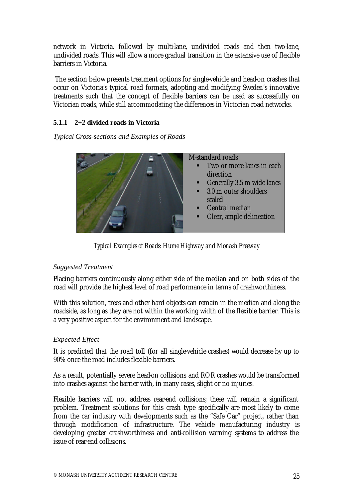network in Victoria, followed by multi-lane, undivided roads and then two-lane, undivided roads. This will allow a more gradual transition in the extensive use of flexible barriers in Victoria.

 The section below presents treatment options for single-vehicle and head-on crashes that occur on Victoria's typical road formats, adopting and modifying Sweden's innovative treatments such that the concept of flexible barriers can be used as successfully on Victorian roads, while still accommodating the differences in Victorian road networks.

## **5.1.1 2+2 divided roads in Victoria**

*Typical Cross-sections and Examples of Roads*



*Typical Examples of Roads: Hume Highway and Monash Freeway*

# *Suggested Treatment*

Placing barriers continuously along either side of the median and on both sides of the road will provide the highest level of road performance in terms of crashworthiness.

With this solution, trees and other hard objects can remain in the median and along the roadside, as long as they are not within the working width of the flexible barrier. This is a very positive aspect for the environment and landscape.

# *Expected Effect*

It is predicted that the road toll (for all single-vehicle crashes) would decrease by up to 90% once the road includes flexible barriers.

As a result, potentially severe head-on collisions and ROR crashes would be transformed into crashes against the barrier with, in many cases, slight or no injuries.

Flexible barriers will not address rear-end collisions; these will remain a significant problem. Treatment solutions for this crash type specifically are most likely to come from the car industry with developments such as the "Safe Car" project, rather than through modification of infrastructure. The vehicle manufacturing industry is developing greater crashworthiness and anti-collision warning systems to address the issue of rear-end collisions.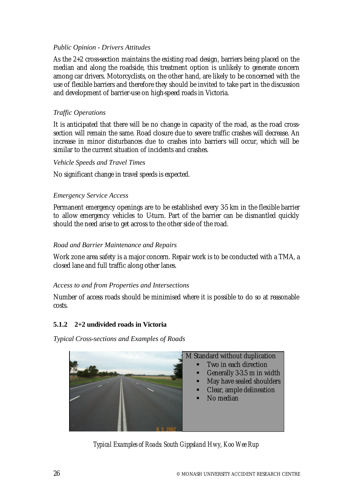## *Public Opinion - Drivers Attitudes*

As the 2+2 cross-section maintains the existing road design, barriers being placed on the median and along the roadside, this treatment option is unlikely to generate concern among car drivers. Motorcyclists, on the other hand, are likely to be concerned with the use of flexible barriers and therefore they should be invited to take part in the discussion and development of barrier-use on high-speed roads in Victoria.

#### *Traffic Operations*

It is anticipated that there will be no change in capacity of the road, as the road crosssection will remain the same. Road closure due to severe traffic crashes will decrease. An increase in minor disturbances due to crashes into barriers will occur, which will be similar to the current situation of incidents and crashes.

#### *Vehicle Speeds and Travel Times*

No significant change in travel speeds is expected.

## *Emergency Service Access*

Permanent emergency openings are to be established every 3-5 km in the flexible barrier to allow emergency vehicles to Uturn. Part of the barrier can be dismantled quickly should the need arise to get across to the other side of the road.

## *Road and Barrier Maintenance and Repairs*

Work zone area safety is a major concern. Repair work is to be conducted with a TMA, a closed lane and full traffic along other lanes.

#### *Access to and from Properties and Intersections*

Number of access roads should be minimised where it is possible to do so at reasonable costs.

# **5.1.2 2+2 undivided roads in Victoria**

*Typical Cross-sections and Examples of Roads*



*Typical Examples of Roads: South Gippsland Hwy, Koo Wee Rup*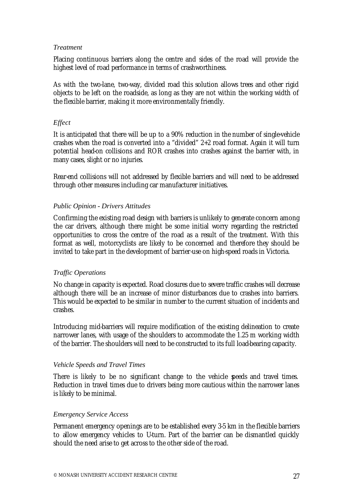#### *Treatment*

Placing continuous barriers along the centre and sides of the road will provide the highest level of road performance in terms of crashworthiness.

As with the two-lane, two-way, divided road this solution allows trees and other rigid objects to be left on the roadside, as long as they are not within the working width of the flexible barrier, making it more environmentally friendly.

#### *Effect*

It is anticipated that there will be up to a 90% reduction in the number of single-vehicle crashes when the road is converted into a "divided" 2+2 road format. Again it will turn potential head-on collisions and ROR crashes into crashes against the barrier with, in many cases, slight or no injuries.

Rear-end collisions will not addressed by flexible barriers and will need to be addressed through other measures including car manufacturer initiatives.

#### *Public Opinion - Drivers Attitudes*

Confirming the existing road design with barriers is unlikely to generate concern among the car drivers, although there might be some initial worry regarding the restricted opportunities to cross the centre of the road as a result of the treatment. With this format as well, motorcyclists are likely to be concerned and therefore they should be invited to take part in the development of barrier-use on high-speed roads in Victoria.

#### *Traffic Operations*

No change in capacity is expected. Road closures due to severe traffic crashes will decrease although there will be an increase of minor disturbances due to crashes into barriers. This would be expected to be similar in number to the current situation of incidents and crashes.

Introducing mid-barriers will require modification of the existing delineation to create narrower lanes, with usage of the shoulders to accommodate the 1.25 m working width of the barrier. The shoulders will need to be constructed to its full load-bearing capacity.

#### *Vehicle Speeds and Travel Times*

There is likely to be no significant change to the vehicle peeds and travel times. Reduction in travel times due to drivers being more cautious within the narrower lanes is likely to be minimal.

#### *Emergency Service Access*

Permanent emergency openings are to be established every 3-5 km in the flexible barriers to allow emergency vehicles to Uturn. Part of the barrier can be dismantled quickly should the need arise to get across to the other side of the road.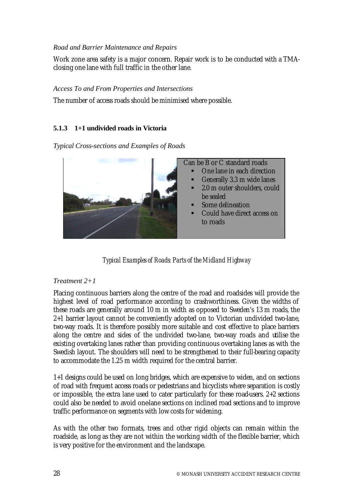#### *Road and Barrier Maintenance and Repairs*

Work zone area safety is a major concern. Repair work is to be conducted with a TMAclosing one lane with full traffic in the other lane.

#### *Access To and From Properties and Intersections*

The number of access roads should be minimised where possible.

# **5.1.3 1+1 undivided roads in Victoria**

*Typical Cross-sections and Examples of Roads*



*Typical Examples of Roads: Parts of the Midland Highway*

# *Treatment 2+1*

Placing continuous barriers along the centre of the road and roadsides will provide the highest level of road performance according to crashworthiness. Given the widths of these roads are generally around 10 m in width as opposed to Sweden's 13 m roads, the 2+1 barrier layout cannot be conveniently adopted on to Victorian undivided two-lane, two-way roads. It is therefore possibly more suitable and cost effective to place barriers along the centre and sides of the undivided two-lane, two-way roads and utilise the existing overtaking lanes rather than providing continuous overtaking lanes as with the Swedish layout. The shoulders will need to be strengthened to their full-bearing capacity to accommodate the 1.25 m width required for the central barrier.

1+1 designs could be used on long bridges, which are expensive to widen, and on sections of road with frequent access roads or pedestrians and bicyclists where separation is costly or impossible, the extra lane used to cater particularly for these road-users. 2+2 sections could also be needed to avoid one-lane sections on inclined road sections and to improve traffic performance on segments with low costs for widening.

As with the other two formats, trees and other rigid objects can remain within the roadside, as long as they are not within the working width of the flexible barrier, which is very positive for the environment and the landscape.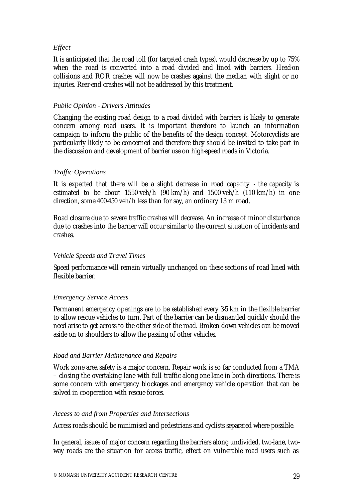## *Effect*

It is anticipated that the road toll (for targeted crash types), would decrease by up to 75% when the road is converted into a road divided and lined with barriers. Head-on collisions and ROR crashes will now be crashes against the median with slight or no injuries. Rear-end crashes will not be addressed by this treatment.

#### *Public Opinion - Drivers Attitudes*

Changing the existing road design to a road divided with barriers is likely to generate concern among road users. It is important therefore to launch an information campaign to inform the public of the benefits of the design concept. Motorcyclists are particularly likely to be concerned and therefore they should be invited to take part in the discussion and development of barrier use on high-speed roads in Victoria.

#### *Traffic Operations*

It is expected that there will be a slight decrease in road capacity - the capacity is estimated to be about 1550 veh/h (90 km/h) and 1500 veh/h (110 km/h) in one direction, some 400-450 veh/h less than for say, an ordinary 13 m road.

Road closure due to severe traffic crashes will decrease. An increase of minor disturbance due to crashes into the barrier will occur similar to the current situation of incidents and crashes.

#### *Vehicle Speeds and Travel Times*

Speed performance will remain virtually unchanged on these sections of road lined with flexible barrier.

#### *Emergency Service Access*

Permanent emergency openings are to be established every 3-5 km in the flexible barrier to allow rescue vehicles to turn. Part of the barrier can be dismantled quickly should the need arise to get across to the other side of the road. Broken down vehicles can be moved aside on to shoulders to allow the passing of other vehicles.

#### *Road and Barrier Maintenance and Repairs*

Work zone area safety is a major concern. Repair work is so far conducted from a TMA – closing the overtaking lane with full traffic along one lane in both directions. There is some concern with emergency blockages and emergency vehicle operation that can be solved in cooperation with rescue forces.

#### *Access to and from Properties and Intersections*

Access roads should be minimised and pedestrians and cyclists separated where possible.

In general, issues of major concern regarding the barriers along undivided, two-lane, twoway roads are the situation for access traffic, effect on vulnerable road users such as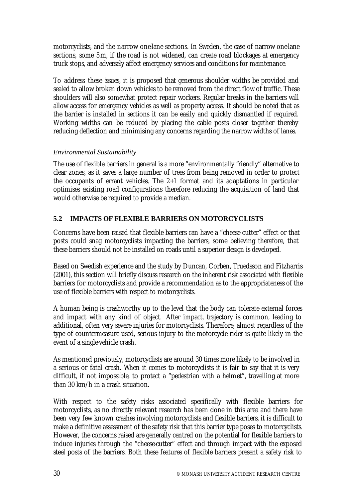motorcyclists, and the narrow one-lane sections. In Sweden, the case of narrow one-lane sections, some 5m, if the road is not widened, can create road blockages at emergency truck stops, and adversely affect emergency services and conditions for maintenance.

To address these issues, it is proposed that generous shoulder widths be provided and sealed to allow broken down vehicles to be removed from the direct flow of traffic. These shoulders will also somewhat protect repair workers. Regular breaks in the barriers will allow access for emergency vehicles as well as property access. It should be noted that as the barrier is installed in sections it can be easily and quickly dismantled if required. Working widths can be reduced by placing the cable posts closer together thereby reducing deflection and minimising any concerns regarding the narrow widths of lanes.

## *Environmental Sustainability*

The use of flexible barriers in general is a more "environmentally friendly" alternative to clear zones, as it saves a large number of trees from being removed in order to protect the occupants of errant vehicles. The 2+1 format and its adaptations in particular optimises existing road configurations therefore reducing the acquisition of land that would otherwise be required to provide a median.

# **5.2 IMPACTS OF FLEXIBLE BARRIERS ON MOTORCYCLISTS**

Concerns have been raised that flexible barriers can have a "cheese cutter" effect or that posts could snag motorcyclists impacting the barriers, some believing therefore, that these barriers should not be installed on roads until a superior design is developed.

Based on Swedish experience and the study by Duncan, Corben, Truedsson and Fitzharris (2001), this section will briefly discuss research on the inherent risk associated with flexible barriers for motorcyclists and provide a recommendation as to the appropriateness of the use of flexible barriers with respect to motorcyclists.

A human being is crashworthy up to the level that the body can tolerate external forces and impact with any kind of object. After impact, trajectory is common, leading to additional, often very severe injuries for motorcyclists. Therefore, almost regardless of the type of countermeasure used, serious injury to the motorcycle rider is quite likely in the event of a single-vehicle crash.

As mentioned previously, motorcyclists are around 30 times more likely to be involved in a serious or fatal crash. When it comes to motorcyclists it is fair to say that it is very difficult, if not impossible, to protect a "pedestrian with a helmet", travelling at more than 30 km/h in a crash situation.

With respect to the safety risks associated specifically with flexible barriers for motorcyclists, as no directly relevant research has been done in this area and there have been very few known crashes involving motorcyclists and flexible barriers, it is difficult to make a definitive assessment of the safety risk that this barrier type poses to motorcyclists. However, the concerns raised are generally centred on the potential for flexible barriers to induce injuries through the "cheese-cutter" effect and through impact with the exposed steel posts of the barriers. Both these features of flexible barriers present a safety risk to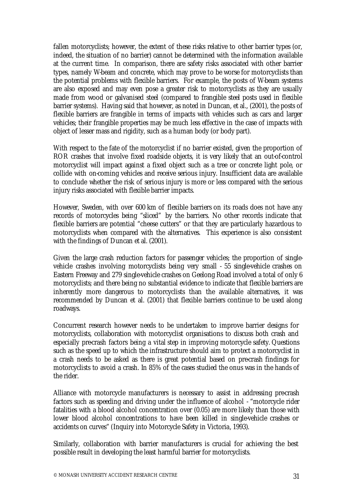fallen motorcyclists; however, the extent of these risks relative to other barrier types (or, indeed, the situation of no barrier) cannot be determined with the information available at the current time. In comparison, there are safety risks associated with other barrier types, namely W-beam and concrete, which may prove to be worse for motorcyclists than the potential problems with flexible barriers. For example, the posts of W-beam systems are also exposed and may even pose a greater risk to motorcyclists as they are usually made from wood or galvanised steel (compared to frangible steel posts used in flexible barrier systems). Having said that however, as noted in Duncan, et al., (2001), the posts of flexible barriers are frangible in terms of impacts with vehicles such as cars and larger vehicles; their frangible properties may be much less effective in the case of impacts with object of lesser mass and rigidity, such as a human body (or body part).

With respect to the fate of the motorcyclist if no barrier existed, given the proportion of ROR crashes that involve fixed roadside objects, it is very likely that an out-of-control motorcyclist will impact against a fixed object such as a tree or concrete light pole, or collide with on-coming vehicles and receive serious injury. Insufficient data are available to conclude whether the risk of serious injury is more or less compared with the serious injury risks associated with flexible barrier impacts.

However, Sweden, with over 600 km of flexible barriers on its roads does not have any records of motorcycles being "sliced" by the barriers. No other records indicate that flexible barriers are potential "cheese cutters" or that they are particularly hazardous to motorcyclists when compared with the alternatives. This experience is also consistent with the findings of Duncan et al. (2001).

Given the large crash reduction factors for passenger vehicles; the proportion of singlevehicle crashes involving motorcyclists being very small - 55 single-vehicle crashes on Eastern Freeway and 279 single-vehicle crashes on Geelong Road involved a total of only 6 motorcyclists; and there being no substantial evidence to indicate that flexible barriers are inherently more dangerous to motorcyclists than the available alternatives, it was recommended by Duncan et al. (2001) that flexible barriers continue to be used along roadways.

Concurrent research however needs to be undertaken to improve barrier designs for motorcyclists, collaboration with motorcyclist organisations to discuss both crash and especially pre-crash factors being a vital step in improving motorcycle safety. Questions such as the speed up to which the infrastructure should aim to protect a motorcyclist in a crash needs to be asked as there is great potential based on pre-crash findings for motorcyclists to avoid a crash. In 85% of the cases studied the onus was in the hands of the rider.

Alliance with motorcycle manufacturers is necessary to assist in addressing pre-crash factors such as speeding and driving under the influence of alcohol - "motorcycle rider fatalities with a blood alcohol concentration over (0.05) are more likely than those with lower blood alcohol concentrations to have been killed in single-vehicle crashes or accidents on curves" (Inquiry into Motorcycle Safety in Victoria, 1993).

Similarly, collaboration with barrier manufacturers is crucial for achieving the best possible result in developing the least harmful barrier for motorcyclists.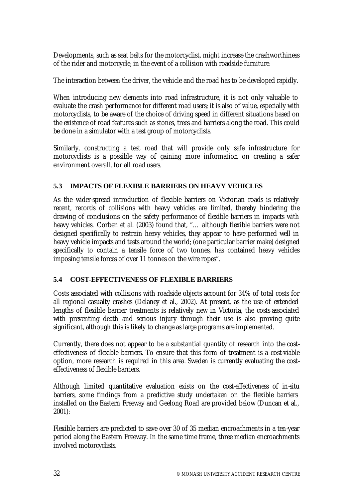Developments, such as seat belts for the motorcyclist, might increase the crashworthiness of the rider and motorcycle, in the event of a collision with roadside furniture.

The interaction between the driver, the vehicle and the road has to be developed rapidly.

When introducing new elements into road infrastructure, it is not only valuable to evaluate the crash performance for different road users; it is also of value, especially with motorcyclists, to be aware of the choice of driving speed in different situations based on the existence of road features such as stones, trees and barriers along the road. This could be done in a simulator with a test group of motorcyclists.

Similarly, constructing a test road that will provide only safe infrastructure for motorcyclists is a possible way of gaining more information on creating a safer environment overall, for all road users.

# **5.3 IMPACTS OF FLEXIBLE BARRIERS ON HEAVY VEHICLES**

As the wider-spread introduction of flexible barriers on Victorian roads is relatively recent, records of collisions with heavy vehicles are limited, thereby hindering the drawing of conclusions on the safety performance of flexible barriers in impacts with heavy vehicles. Corben et al. (2003) found that, "… although flexible barriers were not designed specifically to restrain heavy vehicles, they appear to have performed well in heavy vehicle impacts and tests around the world; (one particular barrier make) designed specifically to contain a tensile force of two tonnes, has contained heavy vehicles imposing tensile forces of over 11 tonnes on the wire ropes".

#### **5.4 COST-EFFECTIVENESS OF FLEXIBLE BARRIERS**

Costs associated with collisions with roadside objects account for 34% of total costs for all regional casualty crashes (Delaney et al., 2002). At present, as the use of extended lengths of flexible barrier treatments is relatively new in Victoria, the costs associated with preventing death and serious injury through their use is also proving quite significant, although this is likely to change as large programs are implemented.

Currently, there does not appear to be a substantial quantity of research into the costeffectiveness of flexible barriers. To ensure that this form of treatment is a cost-viable option, more research is required in this area. Sweden is currently evaluating the costeffectiveness of flexible barriers.

Although limited quantitative evaluation exists on the cost-effectiveness of in-situ barriers, some findings from a predictive study undertaken on the flexible barriers installed on the Eastern Freeway and Geelong Road are provided below (Duncan et al., 2001):

Flexible barriers are predicted to save over 30 of 35 median encroachments in a ten-year period along the Eastern Freeway. In the same time frame, three median encroachments involved motorcyclists.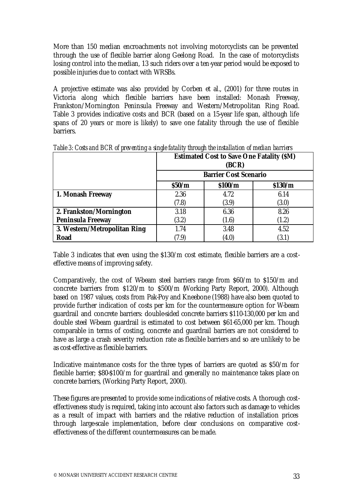More than 150 median encroachments not involving motorcyclists can be prevented through the use of flexible barrier along Geelong Road. In the case of motorcyclists losing control into the median, 13 such riders over a ten-year period would be exposed to possible injuries due to contact with WRSBs.

A projective estimate was also provided by Corben et al., (2001) for three routes in Victoria along which flexible barriers have been installed: Monash Freeway, Frankston/Mornington Peninsula Freeway and Western/Metropolitan Ring Road. Table 3 provides indicative costs and BCR (based on a 15-year life span, although life spans of 20 years or more is likely) to save one fatality through the use of flexible barriers.

|                              | <b>Estimated Cost to Save One Fatality (\$M)</b><br>(BCR) |                              |                 |  |  |  |
|------------------------------|-----------------------------------------------------------|------------------------------|-----------------|--|--|--|
|                              | \$50/m                                                    | <b>Barrier Cost Scenario</b> |                 |  |  |  |
| 1. Monash Freeway            | 2.36                                                      | \$100/m<br>4.72              | \$130/m<br>6.14 |  |  |  |
|                              | (7.8)                                                     | (3.9)                        | (3.0)           |  |  |  |
| 2. Frankston/Mornington      | 3.18                                                      | 6.36                         | 8.26            |  |  |  |
| <b>Peninsula Freeway</b>     | (3.2)                                                     | (1.6)                        | (1.2)           |  |  |  |
| 3. Western/Metropolitan Ring | 1.74                                                      | 3.48                         | 4.52            |  |  |  |
| Road                         | (7.9)                                                     | (4.0)                        | (3.1)           |  |  |  |

*Table 3: Costs and BCR of preventing a single fatality through the installation of median barriers*

Table 3 indicates that even using the \$130/m cost estimate, flexible barriers are a costeffective means of improving safety.

Comparatively, the cost of Wbeam steel barriers range from \$60/m to \$150/m and concrete barriers from \$120/m to \$500/m (Working Party Report, 2000). Although based on 1987 values, costs from Pak-Poy and Kneebone (1988) have also been quoted to provide further indication of costs per km for the countermeasure option for W-beam guardrail and concrete barriers: double-sided concrete barriers \$110-130,000 per km and double steel W-beam guardrail is estimated to cost between \$61-65,000 per km. Though comparable in terms of costing, concrete and guardrail barriers are not considered to have as large a crash severity reduction rate as flexible barriers and so are unlikely to be as cost-effective as flexible barriers.

Indicative maintenance costs for the three types of barriers are quoted as \$50/m for flexible barrier; \$80-\$100/m for guardrail and generally no maintenance takes place on concrete barriers, (Working Party Report, 2000).

These figures are presented to provide some indications of relative costs. A thorough costeffectiveness study is required, taking into account also factors such as damage to vehicles as a result of impact with barriers and the relative reduction of installation prices through large-scale implementation, before clear conclusions on comparative costeffectiveness of the different countermeasures can be made.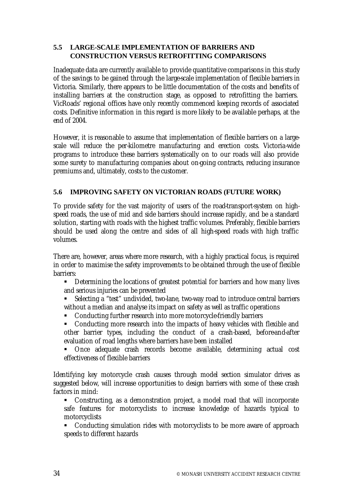## **5.5 LARGE-SCALE IMPLEMENTATION OF BARRIERS AND CONSTRUCTION VERSUS RETROFITTING COMPARISONS**

Inadequate data are currently available to provide quantitative comparisons in this study of the savings to be gained through the large-scale implementation of flexible barriers in Victoria. Similarly, there appears to be little documentation of the costs and benefits of installing barriers at the construction stage, as opposed to retrofitting the barriers. VicRoads' regional offices have only recently commenced keeping records of associated costs. Definitive information in this regard is more likely to be available perhaps, at the end of 2004.

However, it is reasonable to assume that implementation of flexible barriers on a largescale will reduce the per-kilometre manufacturing and erection costs. Victoria-wide programs to introduce these barriers systematically on to our roads will also provide some surety to manufacturing companies about on-going contracts, reducing insurance premiums and, ultimately, costs to the customer.

# **5.6 IMPROVING SAFETY ON VICTORIAN ROADS (FUTURE WORK)**

To provide safety for the vast majority of users of the road-transport-system on highspeed roads, the use of mid and side barriers should increase rapidly, and be a standard solution, starting with roads with the highest traffic volumes. Preferably, flexible barriers should be used along the centre and sides of all high-speed roads with high traffic volumes.

There are, however, areas where more research, with a highly practical focus, is required in order to maximise the safety improvements to be obtained through the use of flexible barriers:

- **EXECT** Determining the locations of greatest potential for barriers and how many lives and serious injuries can be prevented
- Selecting a "test" undivided, two-lane, two-way road to introduce central barriers without a median and analyse its impact on safety as well as traffic operations
- **EXECONDUCTING FURTHER FE** THER THE MOTE MOTE MOTHER THE CONDUCTION **CONDUCTS**
- Conducting more research into the impacts of heavy vehicles with flexible and other barrier types, including the conduct of a crash-based, before-and-after evaluation of road lengths where barriers have been installed
- ß Once adequate crash records become available, determining actual cost effectiveness of flexible barriers

Identifying key motorcycle crash causes through model section simulator drives as suggested below, will increase opportunities to design barriers with some of these crash factors in mind:

• Constructing, as a demonstration project, a model road that will incorporate safe features for motorcyclists to increase knowledge of hazards typical to motorcyclists

• Conducting simulation rides with motorcyclists to be more aware of approach speeds to different hazards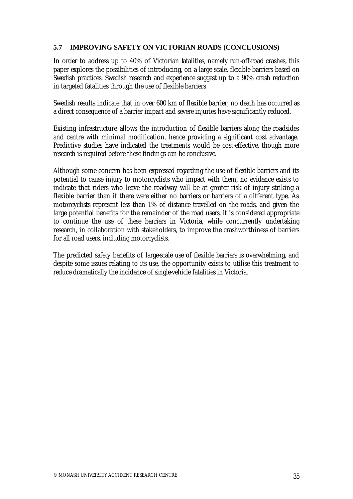## **5.7 IMPROVING SAFETY ON VICTORIAN ROADS (CONCLUSIONS)**

In order to address up to 40% of Victorian fatalities, namely run-off-road crashes, this paper explores the possibilities of introducing, on a large scale, flexible barriers based on Swedish practices. Swedish research and experience suggest up to a 90% crash reduction in targeted fatalities through the use of flexible barriers

Swedish results indicate that in over 600 km of flexible barrier, no death has occurred as a direct consequence of a barrier impact and severe injuries have significantly reduced.

Existing infrastructure allows the introduction of flexible barriers along the roadsides and centre with minimal modification, hence providing a significant cost advantage. Predictive studies have indicated the treatments would be cost-effective, though more research is required before these findings can be conclusive.

Although some concern has been expressed regarding the use of flexible barriers and its potential to cause injury to motorcyclists who impact with them, no evidence exists to indicate that riders who leave the roadway will be at greater risk of injury striking a flexible barrier than if there were either no barriers or barriers of a different type. As motorcyclists represent less than 1% of distance travelled on the roads, and given the large potential benefits for the remainder of the road users, it is considered appropriate to continue the use of these barriers in Victoria, while concurrently undertaking research, in collaboration with stakeholders, to improve the crashworthiness of barriers for all road users, including motorcyclists.

The predicted safety benefits of large-scale use of flexible barriers is overwhelming, and despite some issues relating to its use, the opportunity exists to utilise this treatment to reduce dramatically the incidence of single-vehicle fatalities in Victoria.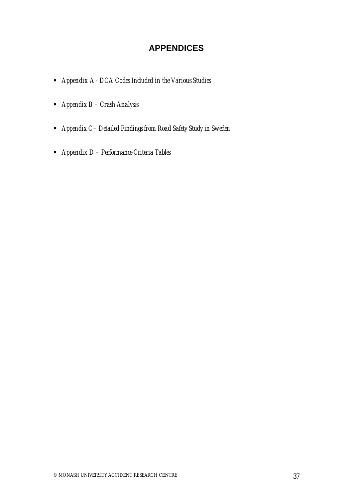# **APPENDICES**

- ß *Appendix A DCA Codes Included in the Various Studies*
- ß *Appendix B Crash Analysis*
- ß *Appendix C– Detailed Findings from Road Safety Study in Sweden*
- ß *Appendix D Performance Criteria Tables*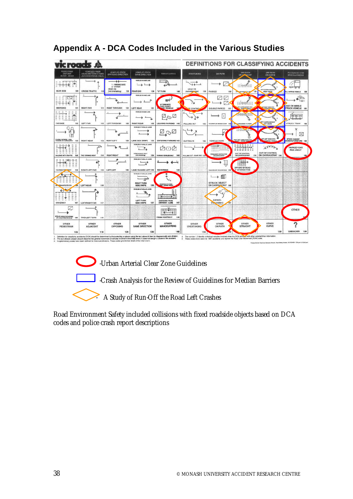| k roads                                                                         |                                                                      |                                                                            |                                                                                   |                                                            |                                           |                                              |                                                                             | <b>DEFINITIONS FOR CLASSIFYING ACCIDENTS</b>        |                                              |
|---------------------------------------------------------------------------------|----------------------------------------------------------------------|----------------------------------------------------------------------------|-----------------------------------------------------------------------------------|------------------------------------------------------------|-------------------------------------------|----------------------------------------------|-----------------------------------------------------------------------------|-----------------------------------------------------|----------------------------------------------|
| <b><i><u>MEDESTRIAN</u></i></b><br><b>ONFOOT</b><br>IN TOY PRAZE                | <b>VENICLES FROM:</b><br>ADJACENT DIRECTIONS<br>(INTERSECTIONS ONLY) | VEHICLES FROM<br>ORPOSING DIRECTION                                        | <b>VEHICLES FROM</b><br><b>SAUE DIRECTION</b>                                     | <b>MANDELIVRING</b>                                        | <b>OVERTAKING</b>                         | <b>CILIFATH</b>                              | OFF PATH<br>MAGNIT<br><b>ChuyA</b>                                          | OFF PATH<br><b>ON CURVE</b>                         | PASSENGER AND<br><b><i>INSCELLANEOUS</i></b> |
| $-1156$<br><b>NEAR SIDE</b><br>$100 -$                                          | CROSS TRAFFIC<br>110                                                 | -14<br>1 - WRONG SIDE<br>$2 -$ OTHER<br>HEAD ON<br>(not ovartaking)<br>136 | <b>FEMILIE IN SAME LINE</b><br>$\overline{\phantom{a}}$<br><b>HEAR END</b><br>130 | <b>TJ</b> TURN<br>140                                      | <b>HEAD ON</b><br>(not sidestates)<br>150 | PARKED<br>193                                |                                                                             | OFF CARRIAGEWAY<br><b>RIGHT BENS</b>                | LL HARRICAE HEIGHCLE                         |
|                                                                                 |                                                                      |                                                                            | <b>HEATLER REGARD LAND</b>                                                        | <b>1/ TLANG A/TCL</b><br>FUED OR NOT                       | $\tau_{\rm g}$                            |                                              |                                                                             |                                                     | OAD ON MISSLE                                |
| EMERICING<br>101<br><b>ANTI ARE</b>                                             | <b>RIGHT FAR</b><br>111                                              | <b>RIGHT THROUGH</b><br>121                                                | <b>LEFT REAR</b><br>131<br>VEHICLES BUSINESS LAND                                 | <b>SED VEHICLE</b><br>Log                                  | F CONTROL                                 | <b>OOUBLE PARKED</b><br>161<br>$\mathcal{L}$ | <b>STAGE</b><br><b>PAID</b><br>市営业业市百工                                      | 41                                                  | TRUCK VEHICLE 191<br>THEFT                   |
| <b>FAR SIDE</b><br>102                                                          | <b>LEFT FAR</b><br>112                                               | LEFT THROUGH<br>122                                                        | <b>RIGHT REAR</b><br>132<br><b>VEHICLES H PARALLEL LANGE</b>                      | LEAVING PARKING 142<br>400                                 | PULLING OUT<br>152                        | ACCREMIT OR MAINEN DOWN 1822                 | m.<br><b>GPT LA RELIGIONS TO RIGHT</b>                                      | <b>W# CARRIAGEWAY</b><br>LEFT BEND                  | STRUCK TRAIN<br>102                          |
| PLATRIS, WO'RENE, LYNA.<br>ETAARRAD ON CARRAGEMAY<br>103<br>Ξ<br>二四四十五          | <b><i>RIGHT NEAR</i></b><br>113                                      | RIGHTSEFT<br>123                                                           | LANE SIDE SWIPE 133<br>VENDLER IN FARMLEL LAMES                                   | ENTERING PARKING 143                                       | <b>CUTTING IN</b><br>153                  | VEHICLE DOOR                                 | a<br>etert den cannaigner wire<br><b>ARIT - RUMAN ITALS</b><br>Ξ            | OTH SENT REAL WAS<br><b>GENERAL VENIDELE</b>        | STUCK RAILWAY<br>HOBBING FURNITURE 193       |
| E<br>Ξ<br>$1 - 11 - 11 + 1$<br>⋍<br>MALKING WITH TRAFPIC 1G4                    | 114<br>TWO TURNING AVENT                                             | <b><i>ПОДАТЛЯВОЛАТ</i></b><br>124                                          | <b>LANE CHANCE MOFT</b><br>134<br><b><i><u>Smid announcement</u></i></b>          | ŻOŹ<br>FARIOUS VEHICLES ONLY 144                           | POLLING OUT - REAR END 154                | ********<br>PERMISSION CRETINISTER           | ELLIAN<br>522111<br>ΞB<br>OUT OF CONTROL<br><b>CHE CLAIREACHIMAN</b><br>174 | 5000<br><b>OUT OF CONTROL</b><br>ON CARRIAGEWAY 184 | <b>PARKED CAR</b><br><b>RUN AWAY</b>         |
| II I Dép-B-E<br>$-3-30 = 2$<br>Ξ<br><b>FACING TRASFIC</b><br>105                | <b>RIGHT/LEFT FAR</b><br>115                                         | LEFT/LEFT<br>125                                                           | WOMEN AND HE RAINHALL FO, LANGING<br>LANE CHANGE LEFT 138                         | <b>REVERSING</b><br>148                                    |                                           | <b>SEP EXPOSURE MONEWORKS 193</b>            | m<br>OFF END OF ROAD<br>T INTERSECTION                                      |                                                     |                                              |
| . 3                                                                             |                                                                      |                                                                            | VEHICLES IN PARKLES, LANGE<br>$\vec{v}$<br><b><i>HIGHT TURN</i></b>               |                                                            |                                           | STRUCK OBJECT                                |                                                                             |                                                     |                                              |
| ON TRANFOOTPATH<br>œ<br>Ξ<br>Ξ<br>Ξ<br>Ī.<br>⋍<br>Ξ                             | <b>LEFT NEAR</b><br>116                                              |                                                                            | SIDE SWIPE<br>138<br>VEHICLES IN FARALLEL LAHOE                                   | $\frac{1}{2}$                                              |                                           | ON CARRIACEWAY 106                           |                                                                             |                                                     |                                              |
| <b>CHIVEWAY</b><br>107                                                          | LEFT/ROGHT FAR<br>117                                                |                                                                            | LEFT TURN<br>SIDE SWIPE<br>137                                                    | EMERGING FROM<br>DRIVEWAY - LANE<br>147<br>CHI II          |                                           | <b>ANIMAL</b><br>(not ridden)<br><b>Tars</b> |                                                                             |                                                     | OTHER                                        |
| <b>ETRUCK WHILE BOARDING</b><br>OR ALASHYAND VEHICLE 108<br>OTHER<br>PEDESTRIAN | TWO LEFT TURN<br>118<br><b>OTHER</b><br><b>ADJACENT</b>              | OTHER<br><b>OPPOSING</b>                                                   | <b>OTHER</b><br>SAME DIRECTION                                                    | <b>FROM FOOTWAY</b><br>1.48<br>OTHER<br><b>MANOEUVRING</b> | OTHER<br><b>OVERTAKING</b>                | OTHER<br><b>ON PATH</b>                      | OTHER<br><b>STRAIGHT</b>                                                    | OTHER<br><b>CURVE</b>                               | っ                                            |
| 109                                                                             | 119                                                                  | 129                                                                        | 139                                                                               | 149                                                        | 159                                       |                                              |                                                                             | 189                                                 | <b>UNICHOWN</b><br>199                       |

# **Appendix A - DCA Codes Included in the Various Studies**

**D** -Urban Arterial Clear Zone Guidelines



-Crash Analysis for the Review of Guidelines for Median Barriers

A Study of Run-Off the Road Left Crashes

Road Environment Safety included collisions with fixed roadside objects based on DCA codes and police crash report descriptions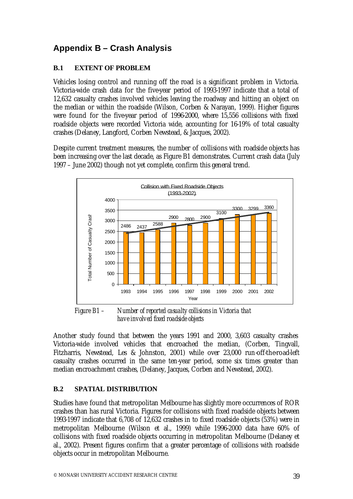# **Appendix B – Crash Analysis**

# **B.1 EXTENT OF PROBLEM**

Vehicles losing control and running off the road is a significant problem in Victoria. Victoria-wide crash data for the five-year period of 1993-1997 indicate that a total of 12,632 casualty crashes involved vehicles leaving the roadway and hitting an object on the median or within the roadside (Wilson, Corben & Narayan, 1999). Higher figures were found for the five-year period of 1996-2000, where 15,556 collisions with fixed roadside objects were recorded Victoria wide, accounting for 16-19% of total casualty crashes (Delaney, Langford, Corben Newstead, & Jacques, 2002).

Despite current treatment measures, the number of collisions with roadside objects has been increasing over the last decade, as Figure B1 demonstrates. Current crash data (July 1997 – June 2002) though not yet complete, confirm this general trend.



*Figure B1 – Number of reported casualty collisions in Victoria that have involved fixed roadside objects*

Another study found that between the years 1991 and 2000, 3,603 casualty crashes Victoria-wide involved vehicles that encroached the median, (Corben, Tingvall, Fitzharris, Newstead, Les & Johnston, 2001) while over 23,000 run-off-the-road-left casualty crashes occurred in the same ten-year period, some six times greater than median encroachment crashes, (Delaney, Jacques, Corben and Newstead, 2002).

# **B.2 SPATIAL DISTRIBUTION**

Studies have found that metropolitan Melbourne has slightly more occurrences of ROR crashes than has rural Victoria. Figures for collisions with fixed roadside objects between 1993-1997 indicate that 6,708 of 12,632 crashes in to fixed roadside objects (53%) were in metropolitan Melbourne (Wilson et al., 1999) while 1996-2000 data have 60% of collisions with fixed roadside objects occurring in metropolitan Melbourne (Delaney et al., 2002). Present figures confirm that a greater percentage of collisions with roadside objects occur in metropolitan Melbourne.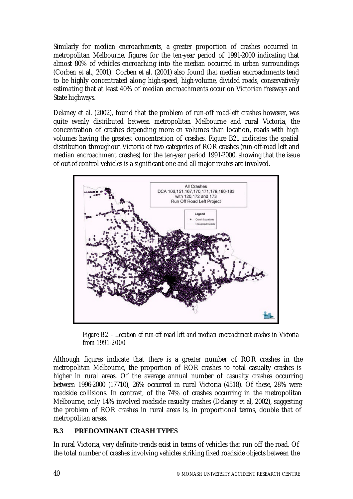Similarly for median encroachments, a greater proportion of crashes occurred in metropolitan Melbourne, figures for the ten-year period of 1991-2000 indicating that almost 80% of vehicles encroaching into the median occurred in urban surroundings (Corben et al., 2001). Corben et al. (2001) also found that median encroachments tend to be highly concentrated along high-speed, high-volume, divided roads, conservatively estimating that at least 40% of median encroachments occur on Victorian freeways and State highways.

Delaney et al. (2002), found that the problem of run-off road-left crashes however, was quite evenly distributed between metropolitan Melbourne and rural Victoria, the concentration of crashes depending more on volumes than location, roads with high volumes having the greatest concentration of crashes. Figure B21 indicates the spatial distribution throughout Victoria of two categories of ROR crashes (run-off-road left and median encroachment crashes) for the ten-year period 1991-2000, showing that the issue of out-of-control vehicles is a significant one and all major routes are involved.



*Figure B2 - Location of run-off road left and median encroachment crashes in Victoria from 1991-2000*

Although figures indicate that there is a greater number of ROR crashes in the metropolitan Melbourne, the proportion of ROR crashes to total casualty crashes is higher in rural areas. Of the average annual number of casualty crashes occurring between 1996-2000 (17710), 26% occurred in rural Victoria (4518). Of these, 28% were roadside collisions. In contrast, of the 74% of crashes occurring in the metropolitan Melbourne, only 14% involved roadside casualty crashes (Delaney et al, 2002), suggesting the problem of ROR crashes in rural areas is, in proportional terms, double that of metropolitan areas.

# **B.3 PREDOMINANT CRASH TYPES**

In rural Victoria, very definite trends exist in terms of vehicles that run off the road. Of the total number of crashes involving vehicles striking fixed roadside objects between the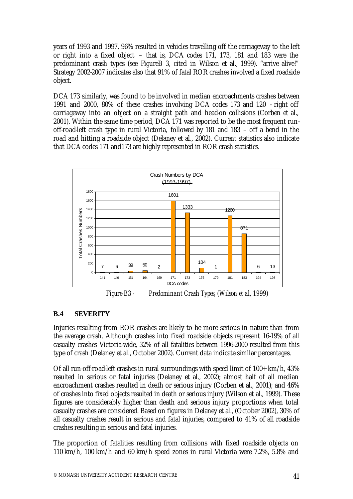years of 1993 and 1997, 96% resulted in vehicles travelling off the carriageway to the left or right into a fixed object – that is, DCA codes 171, 173, 181 and 183 were the predominant crash types (see FigureB 3, cited in Wilson et al., 1999). "arrive alive!" Strategy 2002-2007 indicates also that 91% of fatal ROR crashes involved a fixed roadside object.

DCA 173 similarly, was found to be involved in median encroachments crashes between 1991 and 2000, 80% of these crashes involving DCA codes 173 and 120 - right off carriageway into an object on a straight path and head-on collisions (Corben et al., 2001). Within the same time period, DCA 171 was reported to be the most frequent runoff-road-left crash type in rural Victoria, followed by 181 and 183 – off a bend in the road and hitting a roadside object (Delaney et al., 2002). Current statistics also indicate that DCA codes 171 and173 are highly represented in ROR crash statistics.



*Figure B3 - Predominant Crash Types, (Wilson et al, 1999)*

# **B.4 SEVERITY**

Injuries resulting from ROR crashes are likely to be more serious in nature than from the average crash. Although crashes into fixed roadside objects represent 16-19% of all casualty crashes Victoria-wide, 32% of all fatalities between 1996-2000 resulted from this type of crash (Delaney et al., October 2002). Current data indicate similar percentages.

Of all run-off-road-left crashes in rural surroundings with speed limit of 100+ km/h, 43% resulted in serious or fatal injuries (Delaney et al., 2002); almost half of all median encroachment crashes resulted in death or serious injury (Corben et al., 2001); and 46% of crashes into fixed objects resulted in death or serious injury (Wilson et al., 1999). These figures are considerably higher than death and serious injury proportions when total casualty crashes are considered. Based on figures in Delaney et al., (October 2002), 30% of all casualty crashes result in serious and fatal injuries, compared to 41% of all roadside crashes resulting in serious and fatal injuries.

The proportion of fatalities resulting from collisions with fixed roadside objects on 110 km/h, 100 km/h and 60 km/h speed zones in rural Victoria were 7.2%, 5.8% and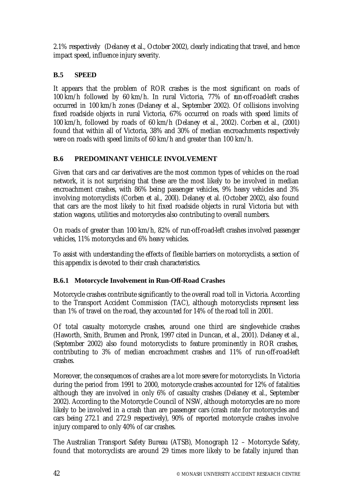2.1% respectively (Delaney et al., October 2002), clearly indicating that travel, and hence impact speed, influence injury severity.

# **B.5 SPEED**

It appears that the problem of ROR crashes is the most significant on roads of 100 km/h followed by 60 km/h. In rural Victoria, 77% of run-off-road-left crashes occurred in 100 km/h zones (Delaney et al., September 2002). Of collisions involving fixed roadside objects in rural Victoria, 67% occurred on roads with speed limits of 100 km/h, followed by roads of 60 km/h (Delaney et al., 2002). Corben et al., (2001) found that within all of Victoria, 38% and 30% of median encroachments respectively were on roads with speed limits of 60 km/h and greater than 100 km/h.

# **B.6 PREDOMINANT VEHICLE INVOLVEMENT**

Given that cars and car derivatives are the most common types of vehicles on the road network, it is not surprising that these are the most likely to be involved in median encroachment crashes, with 86% being passenger vehicles, 9% heavy vehicles and 3% involving motorcyclists (Corben et al., 200l). Delaney et al. (October 2002), also found that cars are the most likely to hit fixed roadside objects in rural Victoria but with station wagons, utilities and motorcycles also contributing to overall numbers.

On roads of greater than 100 km/h, 82% of run-off-road-left crashes involved passenger vehicles, 11% motorcycles and 6% heavy vehicles.

To assist with understanding the effects of flexible barriers on motorcyclists, a section of this appendix is devoted to their crash characteristics.

# **B.6.1 Motorcycle Involvement in Run-Off-Road Crashes**

Motorcycle crashes contribute significantly to the overall road toll in Victoria. According to the Transport Accident Commission (TAC), although motorcyclists represent less than 1% of travel on the road, they accounted for 14% of the road toll in 2001.

Of total casualty motorcycle crashes, around one third are single-vehicle crashes (Haworth, Smith, Brumen and Pronk, 1997 cited in Duncan, et al., 2001). Delaney et al., (September 2002) also found motorcyclists to feature prominently in ROR crashes, contributing to 3% of median encroachment crashes and 11% of run-off-road-left crashes.

Moreover, the consequences of crashes are a lot more severe for motorcyclists. In Victoria during the period from 1991 to 2000, motorcycle crashes accounted for 12% of fatalities although they are involved in only 6% of casualty crashes (Delaney et al., September 2002). According to the Motorcycle Council of NSW, although motorcycles are no more likely to be involved in a crash than are passenger cars (crash rate for motorcycles and cars being 272.1 and 272.9 respectively), 90% of reported motorcycle crashes involve injury compared to only 40% of car crashes.

The Australian Transport Safety Bureau (ATSB), Monograph 12 – Motorcycle Safety, found that motorcyclists are around 29 times more likely to be fatally injured than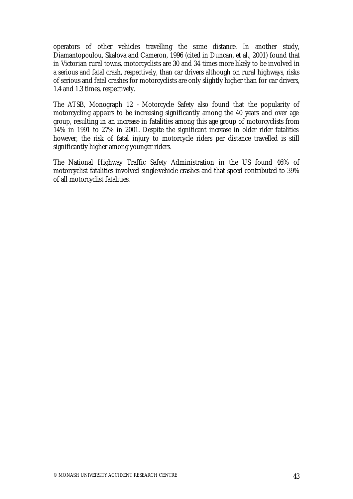operators of other vehicles travelling the same distance. In another study, Diamantopoulou, Skalova and Cameron, 1996 (cited in Duncan, et al., 2001) found that in Victorian rural towns, motorcyclists are 30 and 34 times more likely to be involved in a serious and fatal crash, respectively, than car drivers although on rural highways, risks of serious and fatal crashes for motorcyclists are only slightly higher than for car drivers, 1.4 and 1.3 times, respectively.

The ATSB, Monograph 12 - Motorcycle Safety also found that the popularity of motorcycling appears to be increasing significantly among the 40 years and over age group, resulting in an increase in fatalities among this age group of motorcyclists from 14% in 1991 to 27% in 2001. Despite the significant increase in older rider fatalities however, the risk of fatal injury to motorcycle riders per distance travelled is still significantly higher among younger riders.

The National Highway Traffic Safety Administration in the US found 46% of motorcyclist fatalities involved single-vehicle crashes and that speed contributed to 39% of all motorcyclist fatalities.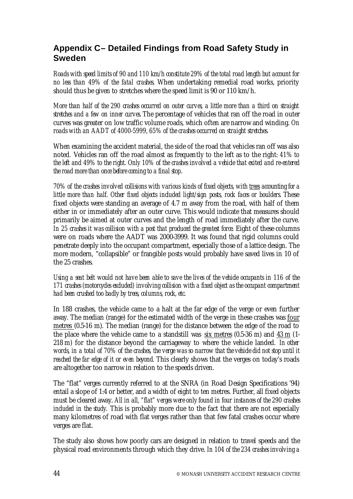# **Appendix C– Detailed Findings from Road Safety Study in Sweden**

*Roads with speed limits of 90 and 110 km/h constitute 29% of the total road length but account for no less than 49% of the fatal crashes.* When undertaking remedial road works, priority should thus be given to stretches where the speed limit is 90 or 110 km/h.

*More than half of the 290 crashes occurred on outer curves, a little more than a third on straight stretches and a few on inner curves.* The percentage of vehicles that ran off the road in outer curves was greater on low traffic volume roads, which often are narrow and winding. *On roads with an AADT of 4000-5999, 65% of the crashes occurred on straight stretches.*

When examining the accident material, the side of the road that vehicles ran off was also noted*.* Vehicles ran off the road almost as frequently to the left as to the right*: 41% to the left and 49% to the right. Only 10% of the crashes involved a vehicle that exited and re-entered the road more than once before coming to a final stop*.

*70% of the crashes involved collisions with various kinds of fixed objects, with trees accounting for a little more than half. Other fixed objects included light/sign posts, rock faces or boulders.* These fixed objects were standing an average of 4.7 m away from the road, with half of them either in or immediately after an outer curve. This would indicate that measures should primarily be aimed at outer curves and the length of road immediately after the curve*. In 25 crashes it was collision with a post that produced the greatest force.* Eight of these columns were on roads where the AADT was 2000-3999. It was found that rigid columns could penetrate deeply into the occupant compartment, especially those of a lattice design. The more modern, "collapsible" or frangible posts would probably have saved lives in 10 of the 25 crashes.

*Using a seat belt would not have been able to save the lives of the vehicle occupants in 116 of the 171 crashes (motorcycles excluded) involving collision with a fixed object as the occupant compartment had been crushed too badly by trees, columns, rock, etc.* 

In 188 crashes, the vehicle came to a halt at the far edge of the verge or even further away. The median (range) for the estimated width of the verge in these crashes was four metres (0.5-16 m). The median (range) for the distance between the edge of the road to the place where the vehicle came to a standstill was six metres (0.5-36 m) and 43 m (1- 218 m) for the distance beyond the carriageway to where the vehicle landed. *In other words, in a total of 70% of the crashes, the verge was so narrow that the vehicle did not stop until it reached the far edge of it or even beyond.* This clearly shows that the verges on today's roads are altogether too narrow in relation to the speeds driven.

The "flat" verges currently referred to at the SNRA (in Road Design Specifications '94) entail a slope of 1:4 or better, and a width of eight to ten metres. Further, all fixed objects must be cleared away. *All in all, "flat" verges were only found in four instances of the 290 crashes included in the study.* This is probably more due to the fact that there are not especially many kilometres of road with flat verges rather than that few fatal crashes occur where verges are flat.

The study also shows how poorly cars are designed in relation to travel speeds and the physical road environments through which they drive. *In 104 of the 234 crashes involving a*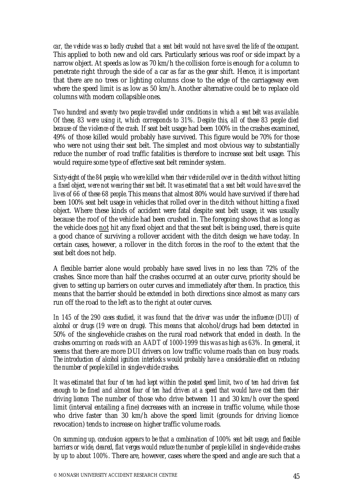*car, the vehicle was so badly crushed that a seat belt would not have saved the life of the occupant.* This applied to both new and old cars. Particularly serious was roof or side impact by a narrow object. At speeds as low as 70 km/h the collision force is enough for a column to penetrate right through the side of a car as far as the gear shift. Hence, it is important that there are no trees or lighting columns close to the edge of the carriageway even where the speed limit is as low as 50 km/h. Another alternative could be to replace old columns with modern collapsible ones.

*Two hundred and seventy two people travelled under conditions in which a seat belt was available. Of these, 83 were using it, which corresponds to 31%. Despite this, all of these 83 people died because of the violence of the crash.* If seat belt usage had been 100% in the crashes examined, 49% of those killed would probably have survived. This figure would be 70% for those who were not using their seat belt. The simplest and most obvious way to substantially reduce the number of road traffic fatalities is therefore to increase seat belt usage. This would require some type of effective seat belt reminder system.

*Sixty-eight of the 84 people, who were killed when their vehicle rolled over in the ditch without hitting a fixed object, were not wearing their seat belt. It was estimated that a seat belt would have saved the lives of 66 of these 68 people.* This means that almost 80% would have survived if there had been 100% seat belt usage in vehicles that rolled over in the ditch without hitting a fixed object. Where these kinds of accident were fatal despite seat belt usage, it was usually because the roof of the vehicle had been crushed in. The foregoing shows that as long as the vehicle does not hit any fixed object and that the seat belt is being used, there is quite a good chance of surviving a rollover accident with the ditch design we have today. In certain cases, however, a rollover in the ditch forces in the roof to the extent that the seat belt does not help.

A flexible barrier alone would probably have saved lives in no less than 72% of the crashes. Since more than half the crashes occurred at an outer curve, priority should be given to setting up barriers on outer curves and immediately after them. In practice, this means that the barrier should be extended in both directions since almost as many cars run off the road to the left as to the right at outer curves.

*In 145 of the 290 cases studied, it was found that the driver was under the influence (DUI) of alcohol or drugs (19 were on drugs).* This means that alcohol/drugs had been detected in 50% of the single-vehicle crashes on the rural road network that ended in death*. In the crashes occurring on roads with an AADT of 1000-1999 this was as high as 63%.* In general, it seems that there are more DUI drivers on low traffic volume roads than on busy roads. *The introduction of alcohol ignition interlocks would probably have a considerable effect on reducing the number of people killed in single-vehicle crashes.*

*It was estimated that four of ten had kept within the posted speed limit, two of ten had driven fast enough to be fined and almost four of ten had driven at a speed that would have cost them their driving licence.* The number of those who drive between 11 and 30 km/h over the speed limit (interval entailing a fine) decreases with an increase in traffic volume, while those who drive faster than 30 km/h above the speed limit (grounds for driving licence revocation) tends to increase on higher traffic volume roads.

*On summing up, conclusion appears to be that a combination of 100% seat belt usage, and flexible barriers or wide, cleared, flat verges would reduce the number of people killed in single-vehicle crashes by up to about 100%.* There are, however, cases where the speed and angle are such that a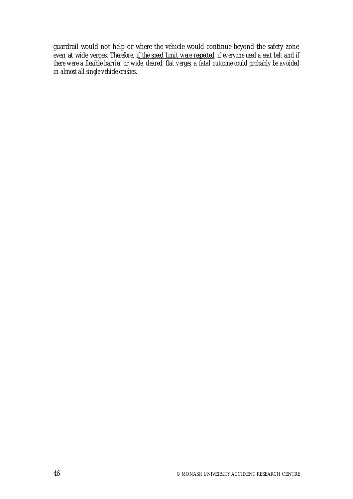guardrail would not help or where the vehicle would continue beyond the safety zone even at wide verges. *Therefore*, *if the speed limit were respected, if everyone used a seat belt and if there were a flexible barrier or wide, cleared, flat verges, a fatal outcome could probably be avoided in almost all single-vehicle crashes*.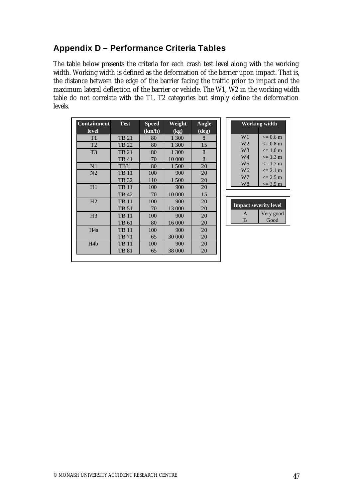# **Appendix D – Performance Criteria Tables**

The table below presents the criteria for each crash test level along with the working width. Working width is defined as the deformation of the barrier upon impact. That is, the distance between the edge of the barrier facing the traffic prior to impact and the maximum lateral deflection of the barrier or vehicle. The W1, W2 in the working width table do not correlate with the T1, T2 categories but simply define the deformation levels.

| <b>Containment</b> | <b>Test</b>  | <b>Speed</b>                                   | Weight | Angle |
|--------------------|--------------|------------------------------------------------|--------|-------|
| level              |              | $\overline{(\mathbf{k}\mathbf{m}/\mathbf{h})}$ | (kg)   | (deg) |
| T1                 | <b>TB 21</b> | 80                                             | 1 300  | 8     |
| T <sub>2</sub>     | TB 22        | 80                                             | 1 300  | 15    |
| T <sub>3</sub>     | <b>TB 21</b> | 80                                             | 1 300  | 8     |
|                    | TB 41        | 70                                             | 10 000 | 8     |
| N <sub>1</sub>     | <b>TB31</b>  | 80                                             | 1500   | 20    |
| N <sub>2</sub>     | <b>TB 11</b> | 100                                            | 900    | 20    |
|                    | TB 32        | 110                                            | 1500   | 20    |
| H1                 | <b>TB 11</b> | 100                                            | 900    | 20    |
|                    | <b>TB42</b>  | 70                                             | 10 000 | 15    |
| H <sub>2</sub>     | <b>TB 11</b> | 100                                            | 900    | 20    |
|                    | TB 51        | 70                                             | 13 000 | 20    |
| H <sub>3</sub>     | <b>TB 11</b> | 100                                            | 900    | 20    |
|                    | TB 61        | 80                                             | 16 000 | 20    |
| H <sub>4</sub> a   | <b>TB 11</b> | 100                                            | 900    | 20    |
|                    | <b>TB 71</b> | 65                                             | 30 000 | 20    |
| H <sub>4</sub> b   | <b>TB 11</b> | 100                                            | 900    | 20    |
|                    | <b>TB 81</b> | 65                                             | 38 000 | 20    |

| <b>Working width</b> |                    |  |  |
|----------------------|--------------------|--|--|
| W <sub>1</sub>       | $\leq$ 0.6 m       |  |  |
| W2                   | $\leq$ 0.8 m       |  |  |
| W3                   | $\leq$ 1.0 m       |  |  |
| W4                   | $\leq$ 1.3 m       |  |  |
| W5                   | $\leq$ 1.7 m       |  |  |
| W6                   | $\epsilon = 2.1$ m |  |  |
| W7                   | $\epsilon = 2.5$ m |  |  |
| W8                   | $\le$ = 3.5 m      |  |  |

| <b>Impact severity level</b> |           |  |
|------------------------------|-----------|--|
| д                            | Very good |  |
|                              | Good      |  |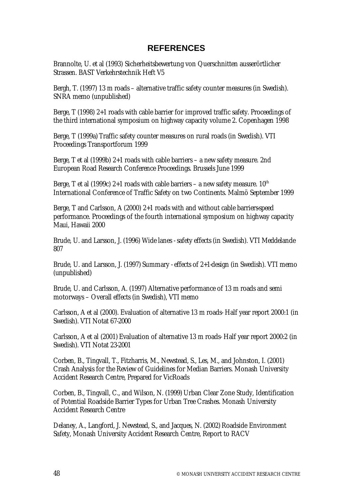# **REFERENCES**

Brannolte, U. et al (1993) Sicherheitsbewertung von Querschnitten ausserörtlicher Strassen. BAST Verkehrstechnik Heft V5

Bergh, T. (1997) 13 m roads – alternative traffic safety counter measures (in Swedish). SNRA memo (unpublished)

Berge, T (1998) 2+1 roads with cable barrier for improved traffic safety. Proceedings of the third international symposium on highway capacity volume 2. Copenhagen 1998

Berge, T (1999a) Traffic safety counter measures on rural roads (in Swedish). VTI Proceedings Transportforum 1999

Berge, T et al (1999b) 2+1 roads with cable barriers – a new safety measure. 2nd European Road Research Conference Proceedings. Brussels June 1999

Berge, T et al (1999c) 2+1 roads with cable barriers – a new safety measure.  $10^{th}$ International Conference of Traffic Safety on two Continents. Malmö September 1999

Berge, T and Carlsson, A (2000) 2+1 roads with and without cable barriers-speed performance. Proceedings of the fourth international symposium on highway capacity Maui, Hawaii 2000

Brude, U. and Larsson, J. (1996) Wide lanes - safety effects (in Swedish). VTI Meddelande 807

Brude, U. and Larsson, J. (1997) Summary - effects of 2+1-design (in Swedish). VTI memo (unpublished)

Brude, U. and Carlsson, A. (1997) Alternative performance of 13 m roads and semi motorways – Overall effects (in Swedish), VTI memo

Carlsson, A et al (2000). Evaluation of alternative 13 m roads- Half year report 2000:1 (in Swedish). VTI Notat 67-2000

Carlsson, A et al (2001) Evaluation of alternative 13 m roads- Half year report 2000:2 (in Swedish). VTI Notat 23-2001

Corben, B., Tingvall, T., Fitzharris, M., Newstead, S., Les, M., and Johnston, I. (2001) Crash Analysis for the Review of Guidelines for Median Barriers. Monash University Accident Research Centre, Prepared for VicRoads

Corben, B., Tingvall, C., and Wilson, N. (1999) Urban Clear Zone Study, Identification of Potential Roadside Barrier Types for Urban Tree Crashes. Monash University Accident Research Centre

Delaney, A., Langford, J. Newstead, S., and Jacques, N. (2002) Roadside Environment Safety, Monash University Accident Research Centre, Report to RACV